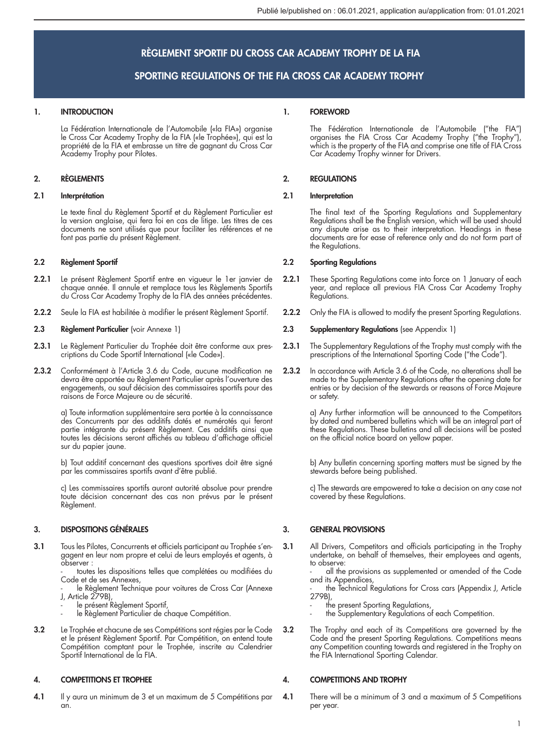# RÈGLEMENT SPORTIF DU CROSS CAR ACADEMY TROPHY DE LA FIA

# SPORTING REGULATIONS OF THE FIA CROSS CAR ACADEMY TROPHY

## 1. INTRODUCTION

La Fédération Internationale de l'Automobile («la FIA») organise le Cross Car Academy Trophy de la FIA («le Trophée»), qui est la propriété de la FIA et embrasse un titre de gagnant du Cross Car Academy Trophy pour Pilotes.

## 2. RÈGLEMENTS

### 2.1 Interprétation

Le texte final du Règlement Sportif et du Règlement Particulier est la version anglaise, qui fera foi en cas de litige. Les titres de ces documents ne sont utilisés que pour faciliter les références et ne font pas partie du présent Règlement.

### 2.2 Règlement Sportif

- 2.2.1 Le présent Règlement Sportif entre en vigueur le 1er janvier de chaque année. Il annule et remplace tous les Règlements Sportifs du Cross Car Academy Trophy de la FIA des années précédentes.
- 2.2.2 Seule la FIA est habilitée à modifier le présent Règlement Sportif.

## 2.3 Règlement Particulier (voir Annexe 1)

- 2.3.1 Le Règlement Particulier du Trophée doit être conforme aux prescriptions du Code Sportif International («le Code»).
- 2.3.2 Conformément à l'Article 3.6 du Code, aucune modification ne devra être apportée au Règlement Particulier après l'ouverture des engagements, ou sauf décision des commissaires sportifs pour des raisons de Force Majeure ou de sécurité.

a) Toute information supplémentaire sera portée à la connaissance des Concurrents par des additifs datés et numérotés qui feront partie intégrante du présent Règlement. Ces additifs ainsi que toutes les décisions seront affichés au tableau d'affichage officiel sur du papier jaune.

b) Tout additif concernant des questions sportives doit être signé par les commissaires sportifs avant d'être publié.

c) Les commissaires sportifs auront autorité absolue pour prendre toute décision concernant des cas non prévus par le présent Règlement.

## 3. DISPOSITIONS GÉNÉRALES

3.1 Tous les Pilotes, Concurrents et officiels participant au Trophée s'engagent en leur nom propre et celui de leurs employés et agents, à observer :

toutes les dispositions telles que complétées ou modifiées du Code et de ses Annexes,

le Règlement Technique pour voitures de Cross Car (Annexe J, Article 279B),

- 
- le présent Règlement Sportif, le Règlement Particulier de chaque Compétition.
- 3.2 Le Trophée et chacune de ses Compétitions sont régies par le Code et le présent Règlement Sportif. Par Compétition, on entend toute Compétition comptant pour le Trophée, inscrite au Calendrier Sportif International de la FIA.

## 4. COMPETITIONS ET TROPHEE

4.1 Il y aura un minimum de 3 et un maximum de 5 Compétitions par an.

## 1. FOREWORD

The Fédération Internationale de l'Automobile ("the FIA") organises the FIA Cross Car Academy Trophy ("the Trophy"), which is the property of the FIA and comprise one title of FIA Cross Car Academy Trophy winner for Drivers.

## 2. REGULATIONS

## 2.1 Interpretation

The final text of the Sporting Regulations and Supplementary Regulations shall be the English version, which will be used should any dispute arise as to their interpretation. Headings in these documents are for ease of reference only and do not form part of the Regulations.

## 2.2 Sporting Regulations

- 2.2.1 These Sporting Regulations come into force on 1 January of each year, and replace all previous FIA Cross Car Academy Trophy Regulations.
- 2.2.2 Only the FIA is allowed to modify the present Sporting Regulations.

#### 2.3 Supplementary Regulations (see Appendix 1)

- 2.3.1 The Supplementary Regulations of the Trophy must comply with the prescriptions of the International Sporting Code ("the Code").
- 2.3.2 In accordance with Article 3.6 of the Code, no alterations shall be made to the Supplementary Regulations after the opening date for entries or by decision of the stewards or reasons of Force Majeure or safety.

a) Any further information will be announced to the Competitors by dated and numbered bulletins which will be an integral part of these Regulations. These bulletins and all decisions will be posted on the official notice board on yellow paper.

b) Any bulletin concerning sporting matters must be signed by the stewards before being published.

c) The stewards are empowered to take a decision on any case not covered by these Regulations.

# 3. GENERAL PROVISIONS

3.1 All Drivers, Competitors and officials participating in the Trophy undertake, on behalf of themselves, their employees and agents, to observe:

all the provisions as supplemented or amended of the Code and its Appendices, - the Technical Regulations for Cross cars (Appendix J, Article

279B),

- 
- the present Sporting Regulations, the Supplementary Regulations of each Competition.
- 3.2 The Trophy and each of its Competitions are governed by the Code and the present Sporting Regulations. Competitions means any Competition counting towards and registered in the Trophy on the FIA International Sporting Calendar.

## 4. COMPETITIONS AND TROPHY

4.1 There will be a minimum of 3 and a maximum of 5 Competitions per year.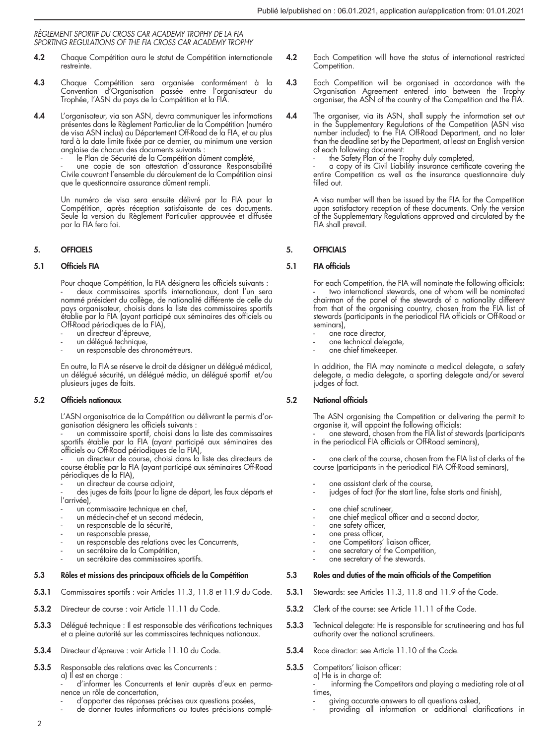- 4.2 Chaque Compétition aura le statut de Compétition internationale restreinte.
- 4.3 Chaque Compétition sera organisée conformément à la Convention d'Organisation passée entre l'organisateur du Trophée, l'ASN du pays de la Compétition et la FIA.
- 4.4 L'organisateur, via son ASN, devra communiquer les informations présentes dans le Règlement Particulier de la Compétition (numéro de visa ASN inclus) au Département Off-Road de la FIA, et au plus tard à la date limite fixée par ce dernier, au minimum une version anglaise de chacun des documents suivants :
	- le Plan de Sécurité de la Compétition dûment complété,

une copie de son attestation d'assurance Responsabilité Civile couvrant l'ensemble du déroulement de la Compétition ainsi que le questionnaire assurance dûment rempli.

Un numéro de visa sera ensuite délivré par la FIA pour la Compétition, après réception satisfaisante de ces documents. Seule la version du Règlement Particulier approuvée et diffusée par la FIA fera foi.

## 5. OFFICIELS

## 5.1 Officiels FIA

Pour chaque Compétition, la FIA désignera les officiels suivants : deux commissaires sportifs internationaux, dont l'un sera nommé président du collège, de nationalité différente de celle du pays organisateur, choisis dans la liste des commissaires sportifs établie par la FIA (ayant participé aux séminaires des officiels ou Off-Road périodiques de la FIA),

- un directeur d'épreuve,
- un délégué technique,
- un responsable des chronométreurs.

En outre, la FIA se réserve le droit de désigner un délégué médical, un délégué sécurité, un délégué média, un délégué sportif et/ou plusieurs juges de faits.

## 5.2 Officiels nationaux

L'ASN organisatrice de la Compétition ou délivrant le permis d'organisation désignera les officiels suivants :

un commissaire sportif, choisi dans la liste des commissaires sportifs établie par la FIA (ayant participé aux séminaires des officiels ou Off-Road périodiques de la FIA),

un directeur de course, choisi dans la liste des directeurs de course établie par la FIA (ayant participé aux séminaires Off-Road périodiques de la FIA),

un directeur de course adjoint.

des juges de faits (pour la ligne de départ, les faux départs et l'arrivée)

- un commissaire technique en chef,
- un médecin-chef et un second médecin,
- un responsable de la sécurité,
- un responsable presse,
- un responsable des relations avec les Concurrents,
- un secrétaire de la Compétition.
- un secrétaire des commissaires sportifs.

## 5.3 Rôles et missions des principaux officiels de la Compétition

- 5.3.1 Commissaires sportifs : voir Articles 11.3, 11.8 et 11.9 du Code.
- 5.3.2 Directeur de course : voir Article 11.11 du Code.
- 5.3.3 Délégué technique : Il est responsable des vérifications techniques et a pleine autorité sur les commissaires techniques nationaux.
- 5.3.4 Directeur d'épreuve : voir Article 11.10 du Code.
- 5.3.5 Responsable des relations avec les Concurrents : a) Il est en charge : d'informer les Concurrents et tenir auprès d'eux en perma
	- nence un rôle de concertation,
	- d'apporter des réponses précises aux questions posées,
	- de donner toutes informations ou toutes précisions complé-
- 4.2 Each Competition will have the status of international restricted Competition.
- 4.3 Each Competition will be organised in accordance with the Organisation Agreement entered into between the Trophy organiser, the ASN of the country of the Competition and the FIA.
- 4.4 The organiser, via its ASN, shall supply the information set out in the Supplementary Regulations of the Competition (ASN visa number included) to the FIA Off-Road Department, and no later than the deadline set by the Department, at least an English version of each following document:
	- the Safety Plan of the Trophy duly completed,

- a copy of its Civil Liability insurance certificate covering the entire Competition as well as the insurance questionnaire duly filled out.

A visa number will then be issued by the FIA for the Competition upon satisfactory reception of these documents. Only the version of the Supplementary Regulations approved and circulated by the FIA shall prevail.

## 5. OFFICIALS

### 5.1 FIA officials

For each Competition, the FIA will nominate the following officials: - two international stewards, one of whom will be nominated chairman of the panel of the stewards of a nationality different from that of the organising country, chosen from the FIA list of stewards (participants in the periodical FIA officials or Off-Road or seminars),

- 
- one race director, one technical delegate,
- one chief timekeeper.

In addition, the FIA may nominate a medical delegate, a safety delegate, a media delegate, a sporting delegate and/or several judges of fact.

## 5.2 National officials

The ASN organising the Competition or delivering the permit to organise it, will appoint the following officials:

- one steward, chosen from the FIA list of stewards (participants in the periodical FIA officials or Off-Road seminars),

one clerk of the course, chosen from the FIA list of clerks of the course (participants in the periodical FIA Off-Road seminars),

- 
- one assistant clerk of the course, judges of fact (for the start line, false starts and finish),
- one chief scrutineer.
- one chief medical officer and a second doctor,
- one safety officer,
- 
- one press officer, one Competitors' liaison officer,
- one secretary of the Competition.
- one secretary of the stewards.

#### 5.3 Roles and duties of the main officials of the Competition

- 5.3.1 Stewards: see Articles 11.3, 11.8 and 11.9 of the Code.
- 5.3.2 Clerk of the course: see Article 11.11 of the Code.
- 5.3.3 Technical delegate: He is responsible for scrutineering and has full authority over the national scrutineers.
- 5.3.4 Race director: see Article 11.10 of the Code.
- 5.3.5 Competitors' liaison officer: a) He is in charge of:
	- informing the Competitors and playing a mediating role at all times,
	- giving accurate answers to all questions asked,
	- providing all information or additional clarifications in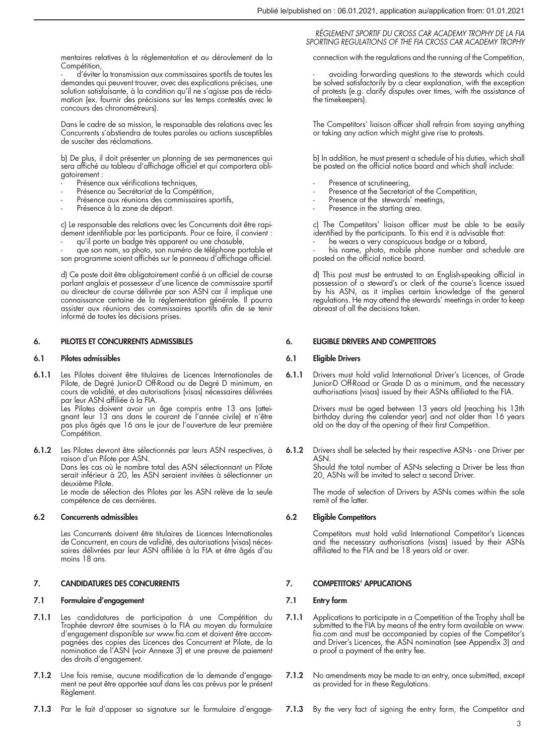mentaires relatives à la réglementation et au déroulement de la Compétition,

- d'éviter la transmission aux commissaires sportifs de toutes les demandes qui peuvent trouver, avec des explications précises, une solution satisfaisante, à la condition qu'il ne s'agisse pas de réclamation (ex. fournir des précisions sur les temps contestés avec le concours des chronométreurs).

Dans le cadre de sa mission, le responsable des relations avec les Concurrents s'abstiendra de toutes paroles ou actions susceptibles de susciter des réclamations.

b) De plus, il doit présenter un planning de ses permanences qui sera affiché au tableau d'affichage officiel et qui comportera obligatoirement :

- Présence aux vérifications techniques,
- Présence au Secrétariat de la Compétition,
- Présence aux réunions des commissaires sportifs,
- Présence à la zone de départ.

c) Le responsable des relations avec les Concurrents doit être rapidement identifiable par les participants. Pour ce faire, il convient :

- qu'il porte un badge très apparent ou une chasuble, - que son nom, sa photo, son numéro de téléphone portable et

son programme soient affichés sur le panneau d'affichage officiel.

d) Ce poste doit être obligatoirement confié à un officiel de course parlant anglais et possesseur d'une licence de commissaire sportif ou directeur de course délivrée par son ASN car il implique une connaissance certaine de la réglementation générale. Il pourra assister aux réunions des commissaires sportifs afin de se tenir informé de toutes les décisions prises.

#### 6. PILOTES ET CONCURRENTS ADMISSIBLES

#### 6.1 Pilotes admissibles

6.1.1 Les Pilotes doivent être titulaires de Licences Internationales de Pilote, de Degré Junior-D Off-Road ou de Degré D minimum, en cours de validité, et des autorisations (visas) nécessaires délivrées par leur ASN affiliée à la FIA. Les Pilotes doivent avoir un âge compris entre 13 ans (attei-

gnant leur 13 ans dans le courant de l'année civile) et n'être pas plus âgés que 16 ans le jour de l'ouverture de leur première Compétition.

6.1.2 Les Pilotes devront être sélectionnés par leurs ASN respectives, à raison d'un Pilote par ASN. Dans les cas où le nombre total des ASN sélectionnant un Pilote serait inférieur à 20, les ASN seraient invitées à sélectionner un deuxième Pilote. Le mode de sélection des Pilotes par les ASN relève de la seule

compétence de ces dernières.

## 6.2 Concurrents admissibles

Les Concurrents doivent être titulaires de Licences Internationales de Concurrent, en cours de validité, des autorisations (visas) nécessaires délivrées par leur ASN affiliée à la FIA et être âgés d'au moins 18 ans.

#### 7. CANDIDATURES DES CONCURRENTS

## 7.1 Formulaire d'engagement

- 7.1.1 Les candidatures de participation à une Compétition du Trophée devront être soumises à la FIA au moyen du formulaire d'engagement disponible sur www.fia.com et doivent être accompagnées des copies des Licences des Concurrent et Pilote, de la nomination de l'ASN (voir Annexe 3) et une preuve de paiement des droits d'engagement.
- 7.1.2 Une fois remise, aucune modification de la demande d'engagement ne peut être apportée sauf dans les cas prévus par le présent Règlement.
- 7.1.3 Par le fait d'apposer sa signature sur le formulaire d'engage-

#### *RÈGLEMENT SPORTIF DU CROSS CAR ACADEMY TROPHY DE LA FIA SPORTING REGULATIONS OF THE FIA CROSS CAR ACADEMY TROPHY*

connection with the regulations and the running of the Competition,

avoiding forwarding questions to the stewards which could be solved satisfactorily by a clear explanation, with the exception of protests (e.g. clarify disputes over times, with the assistance of the timekeepers).

The Competitors' liaison officer shall refrain from saying anything or taking any action which might give rise to protests.

b) In addition, he must present a schedule of his duties, which shall be posted on the official notice board and which shall include:

- Presence at scrutineering,
- Presence at the Secretariat of the Competition,
- Presence at the stewards' meetings,
- Presence in the starting area.

c) The Competitors' liaison officer must be able to be easily identified by the participants. To this end it is advisable that:

- he wears a very conspicuous badge or a tabard, - his name, photo, mobile phone number and schedule are posted on the official notice board.

d) This post must be entrusted to an English-speaking official in possession of a steward's or clerk of the course's licence issued by his ASN, as it implies certain knowledge of the general regulations. He may attend the stewards' meetings in order to keep abreast of all the decisions taken.

#### 6. ELIGIBLE DRIVERS AND COMPETITORS

#### 6.1 Eligible Drivers

6.1.1 Drivers must hold valid International Driver's Licences, of Grade Junior-D Off-Road or Grade D as a minimum, and the necessary authorisations (visas) issued by their ASNs affiliated to the FIA.

> Drivers must be aged between 13 years old (reaching his 13th birthday during the calendar year) and not older than 16 years old on the day of the opening of their first Competition.

6.1.2 Drivers shall be selected by their respective ASNs - one Driver per ASN. Should the total number of ASNs selecting a Driver be less than 20, ASNs will be invited to select a second Driver.

> The mode of selection of Drivers by ASNs comes within the sole remit of the latter.

### 6.2 Eligible Competitors

Competitors must hold valid International Competitor's Licences and the necessary authorisations (visas) issued by their ASNs affiliated to the FIA and be 18 years old or over.

### 7. COMPETITORS' APPLICATIONS

## 7.1 Entry form

- 7.1.1 Applications to participate in a Competition of the Trophy shall be submitted to the FIA by means of the entry form available on www. fia.com and must be accompanied by copies of the Competitor's and Driver's Licences, the ASN nomination (see Appendix 3) and a proof a payment of the entry fee.
- 7.1.2 No amendments may be made to an entry, once submitted, except as provided for in these Regulations.
- 7.1.3 By the very fact of signing the entry form, the Competitor and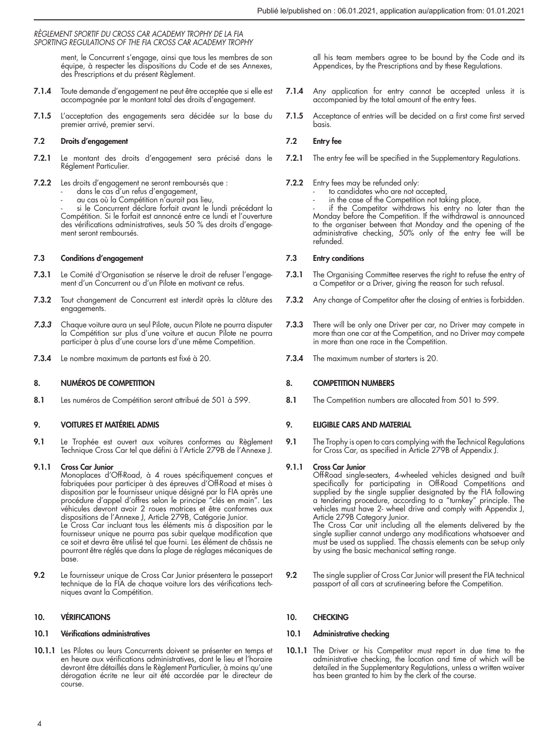ment, le Concurrent s'engage, ainsi que tous les membres de son équipe, à respecter les dispositions du Code et de ses Annexes, des Prescriptions et du présent Règlement.

- 7.1.4 Toute demande d'engagement ne peut être acceptée que si elle est accompagnée par le montant total des droits d'engagement.
- 7.1.5 L'acceptation des engagements sera décidée sur la base du premier arrivé, premier servi.

## 7.2 Droits d'engagement

- 7.2.1 Le montant des droits d'engagement sera précisé dans le Réglement Particulier.
- 7.2.2 Les droits d'engagement ne seront remboursés que : dans le cas d'un refus d'engagement,
	-
	- au cas où la Compétition n'aurait pas lieu,

si le Concurrent déclare forfait avant le lundi précédant la Compétition. Si le forfait est annoncé entre ce lundi et l'ouverture des vérifications administratives, seuls 50 % des droits d'engagement seront remboursés.

## 7.3 Conditions d'engagement

- 7.3.1 Le Comité d'Organisation se réserve le droit de refuser l'engagement d'un Concurrent ou d'un Pilote en motivant ce refus.
- 7.3.2 Tout changement de Concurrent est interdit après la clôture des engagements.
- *7.3.3* Chaque voiture aura un seul Pilote, aucun Pilote ne pourra disputer la Compétition sur plus d'une voiture et aucun Pilote ne pourra participer à plus d'une course lors d'une même Competition.
- 7.3.4 Le nombre maximum de partants est fixé à 20.

## 8. NUMÉROS DE COMPETITION

8.1 Les numéros de Compétition seront attribué de 501 à 599.

## 9. VOITURES ET MATÉRIEL ADMIS

9.1 Le Trophée est ouvert aux voitures conformes au Règlement Technique Cross Car tel que défini à l'Article 279B de l'Annexe J.

## 9.1.1 Cross Car Junior

Monoplaces d'Off-Road, à 4 roues spécifiquement conçues et fabriquées pour participer à des épreuves d'Off-Road et mises à disposition par le fournisseur unique désigné par la FIA après une procédure d'appel d'offres selon le principe "clés en main". Les véhicules devront avoir 2 roues motrices et être conformes aux dispositions de l'Annexe J, Article 279B, Catégorie Junior. Le Cross Car incluant tous les éléments mis à disposition par le fournisseur unique ne pourra pas subir quelque modification que ce soit et devra être utilisé tel que fourni. Les élément de châssis ne pourront être réglés que dans la plage de réglages mécaniques de base.

9.2 Le fournisseur unique de Cross Car Junior présentera le passeport technique de la FIA de chaque voiture lors des vérifications techniques avant la Compétition.

## 10. VÉRIFICATIONS

#### 10.1 Vérifications administratives

10.1.1 Les Pilotes ou leurs Concurrents doivent se présenter en temps et en heure aux vérifications administratives, dont le lieu et l'horaire devront être détaillés dans le Règlement Particulier, à moins qu'une dérogation écrite ne leur ait été accordée par le directeur de course.

all his team members agree to be bound by the Code and its Appendices, by the Prescriptions and by these Regulations.

- 7.1.4 Any application for entry cannot be accepted unless it is accompanied by the total amount of the entry fees.
- 7.1.5 Acceptance of entries will be decided on a first come first served basis.

## 7.2 Entry fee

- 7.2.1 The entry fee will be specified in the Supplementary Regulations.
- 
- 7.2.2 Entry fees may be refunded only: to candidates who are not accepted,
	- in the case of the Competition not taking place,

- if the Competitor withdraws his entry no later than the Monday before the Competition. If the withdrawal is announced to the organiser between that Monday and the opening of the administrative checking, 50% only of the entry fee will be refunded.

## 7.3 Entry conditions

- 7.3.1 The Organising Committee reserves the right to refuse the entry of a Competitor or a Driver, giving the reason for such refusal.
- 7.3.2 Any change of Competitor after the closing of entries is forbidden.
- 7.3.3 There will be only one Driver per car, no Driver may compete in more than one car at the Competition, and no Driver may compete in more than one race in the Competition.
- 7.3.4 The maximum number of starters is 20.

## 8. COMPETITION NUMBERS

8.1 The Competition numbers are allocated from 501 to 599.

## 9. ELIGIBLE CARS AND MATERIAL

9.1 The Trophy is open to cars complying with the Technical Regulations for Cross Car, as specified in Article 279B of Appendix J.

## 9.1.1 Cross Car Junior

Off-Road single-seaters, 4-wheeled vehicles designed and built<br>specifically for participating in Off-Road Competitions and<br>supplied by the single supplier designated by the FIA following a tendering procedure, according to a "turnkey" principle. The vehicles must have 2- wheel drive and comply with Appendix J, Article 279B Category Junior.

The Cross Car unit including all the elements delivered by the single supllier cannot undergo any modifications whatsoever and must be used as supplied. The chassis elements can be set-up only by using the basic mechanical setting range.

9.2 The single supplier of Cross Car Junior will present the FIA technical passport of all cars at scrutineering before the Competition.

## 10. CHECKING

### 10.1 Administrative checking

10.1.1 The Driver or his Competitor must report in due time to the administrative checking, the location and time of which will be detailed in the Supplementary Regulations, unless a written waiver has been granted to him by the clerk of the course.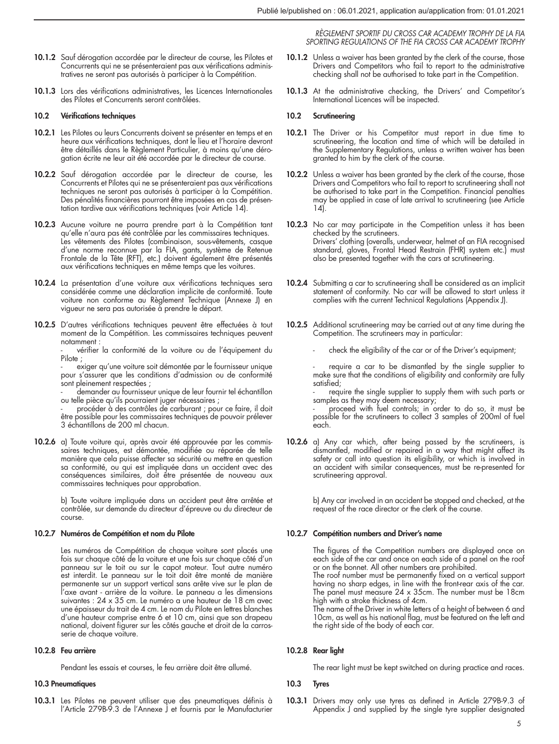- 10.1.2 Sauf dérogation accordée par le directeur de course, les Pilotes et Concurrents qui ne se présenteraient pas aux vérifications administratives ne seront pas autorisés à participer à la Compétition.
- 10.1.3 Lors des vérifications administratives, les Licences Internationales des Pilotes et Concurrents seront contrôlées.

#### 10.2 Vérifications techniques

- 10.2.1 Les Pilotes ou leurs Concurrents doivent se présenter en temps et en heure aux vérifications techniques, dont le lieu et l'horaire devront être détaillés dans le Règlement Particulier, à moins qu'une dérogation écrite ne leur ait été accordée par le directeur de course.
- 10.2.2 Sauf dérogation accordée par le directeur de course, les Concurrents et Pilotes qui ne se présenteraient pas aux vérifications techniques ne seront pas autorisés à participer à la Compétition. Des pénalités financières pourront être imposées en cas de présentation tardive aux vérifications techniques (voir Article 14).
- 10.2.3 Aucune voiture ne pourra prendre part à la Compétition tant qu'elle n'aura pas été contrôlée par les commissaires techniques. Les vêtements des Pilotes (combinaison, sous-vêtements, casque d'une norme reconnue par la FIA, gants, système de Retenue Frontale de la Tête (RFT), etc.) doivent également être présentés aux vérifications techniques en même temps que les voitures.
- 10.2.4 La présentation d'une voiture aux vérifications techniques sera considérée comme une déclaration implicite de conformité. Toute voiture non conforme au Règlement Technique (Annexe J) en vigueur ne sera pas autorisée à prendre le départ.
- 10.2.5 D'autres vérifications techniques peuvent être effectuées à tout moment de la Compétition. Les commissaires techniques peuvent notamment :

vérifier la conformité de la voiture ou de l'équipement du Pilote ;

exiger qu'une voiture soit démontée par le fournisseur unique pour s'assurer que les conditions d'admission ou de conformité sont pleinement respectées ;

- demander au fournisseur unique de leur fournir tel échantillon ou telle pièce qu'ils pourraient juger nécessaires ;

procéder à des contrôles de carburant ; pour ce faire, il doit être possible pour les commissaires techniques de pouvoir prélever 3 échantillons de 200 ml chacun.

10.2.6 a) Toute voiture qui, après avoir été approuvée par les commissaires techniques, est démontée, modifiée ou réparée de telle manière que cela puisse affecter sa sécurité ou mettre en question sa conformité, ou qui est impliquée dans un accident avec des conséquences similaires, doit être présentée de nouveau aux commissaires techniques pour approbation.

> b) Toute voiture impliquée dans un accident peut être arrêtée et contrôlée, sur demande du directeur d'épreuve ou du directeur de course.

### 10.2.7 Numéros de Compétition et nom du Pilote

Les numéros de Compétition de chaque voiture sont placés une fois sur chaque côté de la voiture et une fois sur chaque côté d'un panneau sur le toit ou sur le capot moteur. Tout autre numéro est interdit. Le panneau sur le toit doit être monté de manière permanente sur un support vertical sans arête vive sur le plan de l'axe avant - arrière de la voiture. Le panneau a les dimensions suivantes : 24 x 35 cm. Le numéro a une hauteur de 18 cm avec une épaisseur du trait de 4 cm. Le nom du Pilote en lettres blanches d'une hauteur comprise entre 6 et 10 cm, ainsi que son drapeau national, doivent figurer sur les côtés gauche et droit de la carrosserie de chaque voiture.

## 10.2.8 Feu arrière

Pendant les essais et courses, le feu arrière doit être allumé.

#### 10.3 Pneumatiques

10.3.1 Les Pilotes ne peuvent utiliser que des pneumatiques définis à l'Article 279B-9.3 de l'Annexe J et fournis par le Manufacturier

*RÈGLEMENT SPORTIF DU CROSS CAR ACADEMY TROPHY DE LA FIA SPORTING REGULATIONS OF THE FIA CROSS CAR ACADEMY TROPHY*

- 10.1.2 Unless a waiver has been granted by the clerk of the course, those Drivers and Competitors who fail to report to the administrative checking shall not be authorised to take part in the Competition.
- 10.1.3 At the administrative checking, the Drivers' and Competitor's International Licences will be inspected.

#### 10.2 Scrutineering

- 10.2.1 The Driver or his Competitor must report in due time to scrutineering, the location and time of which will be detailed in the Supplementary Regulations, unless a written waiver has been granted to him by the clerk of the course.
- 10.2.2 Unless a waiver has been granted by the clerk of the course, those Drivers and Competitors who fail to report to scrutineering shall not be authorised to take part in the Competition. Financial penalties may be applied in case of late arrival to scrutineering (see Article  $14$
- 10.2.3 No car may participate in the Competition unless it has been checked by the scrutineers. Drivers' clothing (overalls, underwear, helmet of an FIA recognised standard, gloves, Frontal Head Restrain (FHR) system etc.) must also be presented together with the cars at scrutineering.
- 10.2.4 Submitting a car to scrutineering shall be considered as an implicit statement of conformity. No car will be allowed to start unless it complies with the current Technical Regulations (Appendix J).
- 10.2.5 Additional scrutineering may be carried out at any time during the Competition. The scrutineers may in particular:

check the eligibility of the car or of the Driver's equipment;

require a car to be dismantled by the single supplier to make sure that the conditions of eligibility and conformity are fully satisfied;

require the single supplier to supply them with such parts or samples as they may deem necessary;

proceed with fuel controls; in order to do so, it must be possible for the scrutineers to collect 3 samples of 200ml of fuel each.

10.2.6 a) Any car which, after being passed by the scrutineers, is dismantled, modified or repaired in a way that might affect its safety or call into question its eligibility, or which is involved in an accident with similar consequences, must be re-presented for scrutineering approval.

b) Any car involved in an accident be stopped and checked, at the request of the race director or the clerk of the course.

## 10.2.7 Compétition numbers and Driver's name

The figures of the Competition numbers are displayed once on each side of the car and once on each side of a panel on the roof or on the bonnet. All other numbers are prohibited.

The roof number must be permanently fixed on a vertical support having no sharp edges, in line with the front-rear axis of the car. The panel must measure 24 x 35cm. The number must be 18cm high with a stroke thickness of 4cm.

The name of the Driver in white letters of a height of between 6 and 10cm, as well as his national flag, must be featured on the left and the right side of the body of each car.

## 10.2.8 Rear light

The rear light must be kept switched on during practice and races.

#### 10.3 Tyres

10.3.1 Drivers may only use tyres as defined in Article 279B-9.3 of Appendix  $\int$  and supplied by the single tyre supplier designated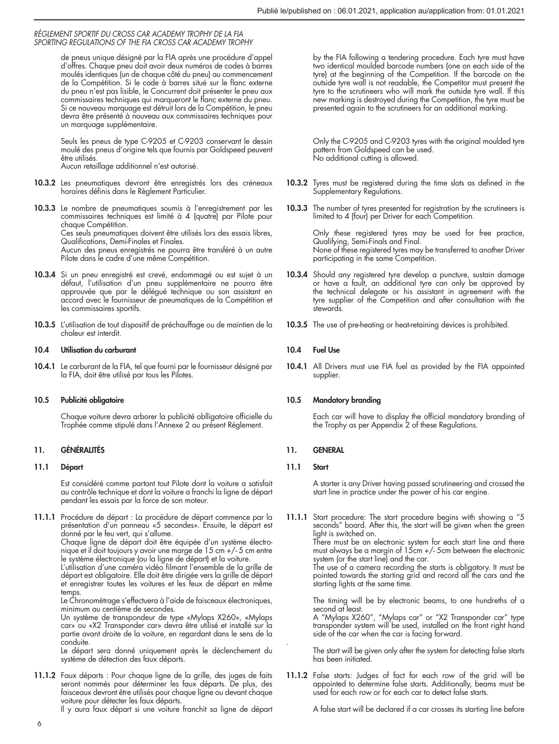de pneus unique désigné par la FIA après une procédure d'appel d'offres. Chaque pneu doit avoir deux numéros de codes à barres moulés identiques (un de chaque côté du pneu) au commencement de la Compétition. Si le code à barres situé sur le flanc externe du pneu n'est pas lisible, le Concurrent doit présenter le pneu aux commissaires techniques qui marqueront le flanc externe du pneu. Si ce nouveau marquage est détruit lors de la Compétition, le pneu devra être présenté à nouveau aux commissaires techniques pour un marquage supplémentaire.

Seuls les pneus de type C-9205 et C-9203 conservant le dessin moulé des pneus d'origine tels que fournis par Goldspeed peuvent être utilisés.

Aucun retaillage additionnel n'est autorisé.

10.3.2 Les pneumatiques devront être enregistrés lors des créneaux horaires définis dans le Règlement Particulier.

10.3.3 Le nombre de pneumatiques soumis à l'enregistrement par les commissaires techniques est limité à 4 (quatre) par Pilote pour chaque Compétition. Ces seuls pneumatiques doivent être utilisés lors des essais libres, Qualifications, Demi-Finales et Finales.

Aucun des pneus enregistrés ne pourra être transféré à un autre Pilote dans le cadre d'une même Compétition.

- 10.3.4 Si un pneu enregistré est crevé, endommagé ou est sujet à un défaut, l'utilisation d'un pneu supplémentaire ne pourra être approuvée que par le délégué technique ou son assistant en accord avec le fournisseur de pneumatiques de la Compétition et les commissaires sportifs.
- 10.3.5 L'utilisation de tout dispositif de préchauffage ou de maintien de la chaleur est interdit.

## 10.4 Utilisation du carburant

10.4.1 Le carburant de la FIA, tel que fourni par le fournisseur désigné par la FIA, doit être utilisé par tous les Pilotes.

### 10.5 Publicité obligatoire

Chaque voiture devra arborer la publicité oblligatoire officielle du Trophée comme stipulé dans l'Annexe 2 au présent Réglement.

## 11. GÉNÉRALITÉS

## 11.1 Départ

Est considéré comme partant tout Pilote dont la voiture a satisfait au contrôle technique et dont la voiture a franchi la ligne de départ pendant les essais par la force de son moteur.

11.1.1 Procédure de départ : La procédure de départ commence par la présentation d'un panneau «5 secondes». Ensuite, le départ est donné par le feu vert, qui s'allume.

Chaque ligne de départ doit être équipée d'un système électronique et il doit toujours y avoir une marge de 15 cm +/- 5 cm entre le système électronique (ou la ligne de départ) et la voiture.

L'utilisation d'une caméra vidéo filmant l'ensemble de la grille de départ est obligatoire. Elle doit être dirigée vers la grille de départ et enregistrer toutes les voitures et les feux de départ en même temps.

Le Chronomètrage s'effectuera à l'aide de faisceaux électroniques, minimum au centième de secondes.

Un système de transpondeur de type «Mylaps X260», «Mylaps car» ou «X2 Transponder car» devra être utilisé et installé sur la partie avant droite de la voiture, en regardant dans le sens de la conduite.

Le départ sera donné uniquement après le déclenchement du système de détection des faux départs.

11.1.2 Faux départs : Pour chaque ligne de la grille, des juges de faits seront nommés pour déterminer les faux départs. De plus, des faisceaux devront être utilisés pour chaque ligne ou devant chaque voiture pour détecter les faux départs.

Il y aura faux départ si une voiture franchit sa ligne de départ

by the FIA following a tendering procedure. Each tyre must have two identical moulded barcode numbers (one on each side of the tyre) at the beginning of the Competition. If the barcode on the outside tyre wall is not readable, the Competitor must present the tyre to the scrutineers who will mark the outside tyre wall. If this new marking is destroyed during the Competition, the tyre must be presented again to the scrutineers for an additional marking.

Only the C-9205 and C-9203 tyres with the original moulded tyre pattern from Goldspeed can be used. No additional cutting is allowed.

- 10.3.2 Tyres must be registered during the time slots as defined in the Supplementary Regulations.
- 10.3.3 The number of tyres presented for registration by the scrutineers is limited to 4 (four) per Driver for each Competition.

Only these registered tyres may be used for free practice, Qualifying, Semi-Finals and Final. None of these registered tyres may be transferred to another Driver participating in the same Competition.

- 10.3.4 Should any registered tyre develop a puncture, sustain damage or have a fault, an additional tyre can only be approved by the technical delegate or his assistant in agreement with the tyre supplier of the Competition and after consultation with the stewards.
- 10.3.5 The use of pre-heating or heat-retaining devices is prohibited.

## 10.4 Fuel Use

10.4.1 All Drivers must use FIA fuel as provided by the FIA appointed supplier.

## 10.5 Mandatory branding

Each car will have to display the official mandatory branding of the Trophy as per Appendix 2 of these Regulations.

### 11. GENERAL

## 11.1 Start

.

A starter is any Driver having passed scrutineering and crossed the start line in practice under the power of his car engine.

11.1.1 Start procedure: The start procedure begins with showing a "5 seconds" board. After this, the start will be given when the green light is switched on.

There must be an electronic system for each start line and there must always be a margin of 15cm +/- 5cm between the electronic system (or the start line) and the car.

The use of a camera recording the starts is obligatory. It must be pointed towards the starting grid and record all the cars and the starting lights at the same time.

The timing will be by electronic beams, to one hundreths of a second at least.

A "Mylaps X260", "Mylaps car" or "X2 Transponder car" type transponder system will be used, installed on the front right hand side of the car when the car is facing forward.

The start will be given only after the system for detecting false starts has been initiated.

11.1.2 False starts: Judges of fact for each row of the grid will be appointed to determine false starts. Additionally, beams must be used for each row or for each car to detect false starts.

A false start will be declared if a car crosses its starting line before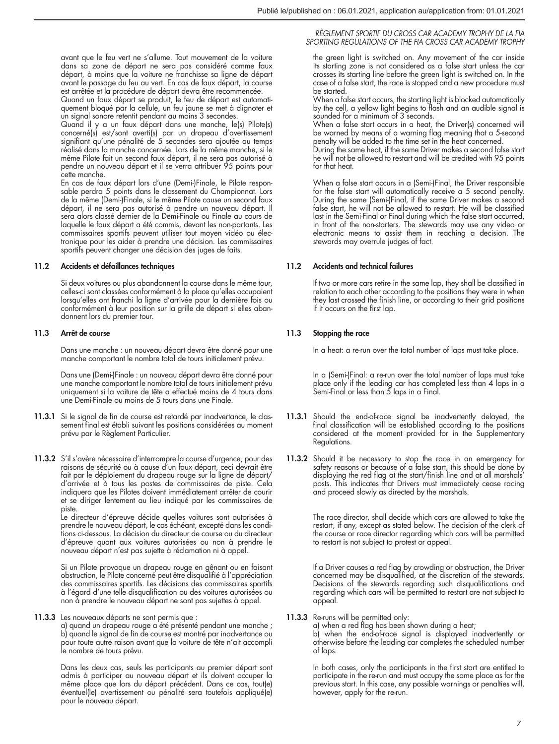avant que le feu vert ne s'allume. Tout mouvement de la voiture dans sa zone de départ ne sera pas considéré comme faux départ, à moins que la voiture ne franchisse sa ligne de départ avant le passage du feu au vert. En cas de faux départ, la course est arrêtée et la procédure de départ devra être recommencée.

Quand un faux départ se produit, le feu de départ est automati-quement bloqué par la cellule, un feu jaune se met à clignoter et un signal sonore retentit pendant au moins 3 secondes.

Quand il y a un faux départ dans une manche, le(s) Pilote(s) concerné(s) est/sont averti(s) par un drapeau d'avertissement signifiant qu'une pénalité de 5 secondes sera ajoutée au temps réalisé dans la manche concernée. Lors de la même manche, si le même Pilote fait un second faux départ, il ne sera pas autorisé à pendre un nouveau départ et il se verra attribuer 95 points pour '<br>cette manche

En cas de faux départ lors d'une (Demi-)Finale, le Pilote respon-sable perdra 5 points dans le classement du Championnat. Lors de la même (Demi-)Finale, si le même Pilote cause un second faux départ, il ne sera pas autorisé à pendre un nouveau départ. Il sera alors classé dernier de la Demi-Finale ou Finale au cours de laquelle le faux départ a été commis, devant les non-partants. Les commissaires sportifs peuvent utiliser tout moyen vidéo ou élec-tronique pour les aider à prendre une décision. Les commissaires sportifs peuvent changer une décision des juges de faits.

## 11.2 Accidents et défaillances techniques

Si deux voitures ou plus abandonnent la course dans le même tour, celles-ci sont classées conformément à la place qu'elles occupaient lorsqu'elles ont franchi la ligne d'arrivée pour la dernière fois ou conformément à leur position sur la grille de départ si elles abandonnent lors du premier tour.

### 11.3 Arrêt de course

Dans une manche : un nouveau départ devra être donné pour une manche comportant le nombre total de tours initialement prévu.

Dans une (Demi-)Finale : un nouveau départ devra être donné pour une manche comportant le nombre total de tours initialement prévu uniquement si la voiture de tête a effectué moins de 4 tours dans une Demi-Finale ou moins de 5 tours dans une Finale.

- 11.3.1 Si le signal de fin de course est retardé par inadvertance, le classement final est établi suivant les positions considérées au moment prévu par le Règlement Particulier.
- 11.3.2 S'il s'avère nécessaire d'interrompre la course d'urgence, pour des raisons de sécurité ou à cause d'un faux départ, ceci devrait être fait par le déploiement du drapeau rouge sur la ligne de départ/ d'arrivée et à tous les postes de commissaires de piste. Cela indiquera que les Pilotes doivent immédiatement arrêter de courir et se diriger lentement au lieu indiqué par les commissaires de piste.

Le directeur d'épreuve décide quelles voitures sont autorisées à prendre le nouveau départ, le cas échéant, excepté dans les conditions ci-dessous. La décision du directeur de course ou du directeur d'épreuve quant aux voitures autorisées ou non à prendre le nouveau départ n'est pas sujette à réclamation ni à appel.

Si un Pilote provoque un drapeau rouge en gênant ou en faisant obstruction, le Pilote concerné peut être disqualifié à l'appréciation des commissaires sportifs. Les décisions des commissaires sportifs à l'égard d'une telle disqualification ou des voitures autorisées ou non à prendre le nouveau départ ne sont pas sujettes à appel.

#### 11.3.3 Les nouveaux départs ne sont permis que :

a) quand un drapeau rouge a été présenté pendant une manche ; b) quand le signal de fin de course est montré par inadvertance ou pour toute autre raison avant que la voiture de tête n'ait accompli le nombre de tours prévu.

Dans les deux cas, seuls les participants au premier départ sont admis à participer au nouveau départ et ils doivent occuper la même place que lors du départ précédent. Dans ce cas, tout(e) éventuel(le) avertissement ou pénalité sera toutefois appliqué(e) pour le nouveau départ.

## *RÈGLEMENT SPORTIF DU CROSS CAR ACADEMY TROPHY DE LA FIA SPORTING REGULATIONS OF THE FIA CROSS CAR ACADEMY TROPHY*

the green light is switched on. Any movement of the car inside its starting zone is not considered as a false start unless the car crosses its starting line before the green light is switched on. In the case of a false start, the race is stopped and a new procedure must be started.

When a false start occurs, the starting light is blocked automatically by the cell, a yellow light begins to flash and an audible signal is sounded for a minimum of 3 seconds.

When a false start occurs in a heat, the Driver(s) concerned will be warned by means of a warning flag meaning that a 5-second

penalty will be added to the time set in the heat concerned. During the same heat, if the same Driver makes a second false start he will not be allowed to restart and will be credited with 95 points for that heat.

When a false start occurs in a (Semi-)Final, the Driver responsible for the false start will automatically receive a 5 second penalty. During the same (Semi-)Final, if the same Driver makes a second false start, he will not be allowed to restart. He will be classified last in the Semi-Final or Final during which the false start occurred, in front of the non-starters. The stewards may use any video or electronic means to assist them in reaching a decision. The stewards may overrule judges of fact.

# 11.2 Accidents and technical failures

If two or more cars retire in the same lap, they shall be classified in relation to each other according to the positions they were in when they last crossed the finish line, or according to their grid positions if it occurs on the first lap.

## 11.3 Stopping the race

In a heat: a re-run over the total number of laps must take place.

In a (Semi-)Final: a re-run over the total number of laps must take place only if the leading car has completed less than 4 laps in a Semi-Final or less than 5 laps in a Final.

- 11.3.1 Should the end-of-race signal be inadvertently delayed, the final classification will be established according to the positions considered at the moment provided for in the Supplementary Regulations.
- 11.3.2 Should it be necessary to stop the race in an emergency for safety reasons or because of a false start, this should be done by displaying the red flag at the start/finish line and at all marshals' posts. This indicates that Drivers must immediately cease racing and proceed slowly as directed by the marshals.

The race director, shall decide which cars are allowed to take the restart, if any, except as stated below. The decision of the clerk of the course or race director regarding which cars will be permitted to restart is not subject to protest or appeal.

If a Driver causes a red flag by crowding or obstruction, the Driver concerned may be disqualified, at the discretion of the stewards. Decisions of the stewards regarding such disqualifications and regarding which cars will be permitted to restart are not subject to appeal.

### 11.3.3 Re-runs will be permitted only:

a) when a red flag has been shown during a heat; b) when the end-of-race signal is displayed inadvertently or otherwise before the leading car completes the scheduled number of laps.

In both cases, only the participants in the first start are entitled to participate in the re-run and must occupy the same place as for the previous start. In this case, any possible warnings or penalties will, however, apply for the re-run.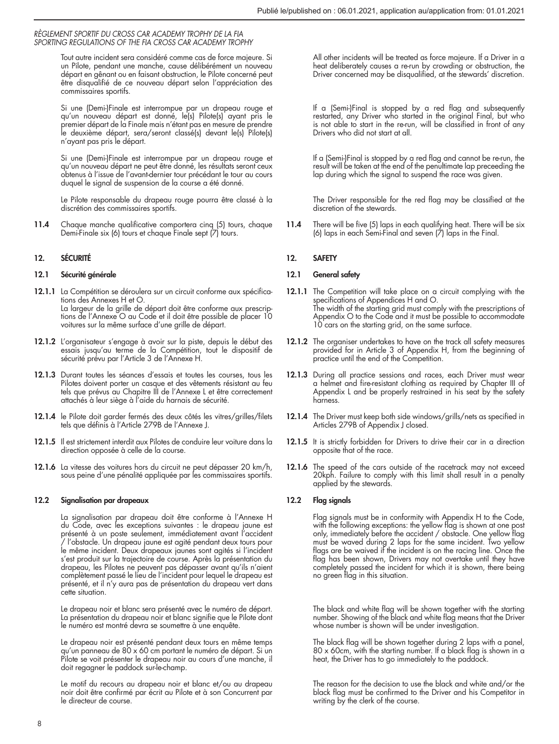Tout autre incident sera considéré comme cas de force majeure. Si un Pilote, pendant une manche, cause délibérément un nouveau départ en gênant ou en faisant obstruction, le Pilote concerné peut être disqualifié de ce nouveau départ selon l'appréciation des commissaires sportifs.

Si une (Demi-)Finale est interrompue par un drapeau rouge et qu'un nouveau départ est donné, le(s) Pilote(s) ayant pris le premier départ de la Finale mais n'étant pas en mesure de prendre le deuxième départ, sera/seront classé(s) devant le(s) Pilote(s) n'ayant pas pris le départ.

Si une (Demi-)Finale est interrompue par un drapeau rouge et qu'un nouveau départ ne peut être donné, les résultats seront ceux obtenus à l'issue de l'avant-dernier tour précédant le tour au cours duquel le signal de suspension de la course a été donné.

Le Pilote responsable du drapeau rouge pourra être classé à la discrétion des commissaires sportifs.

11.4 Chaque manche qualificative comportera cinq (5) tours, chaque Demi-Finale six (6) tours et chaque Finale sept (7) tours.

## 12. SÉCURITÉ

## 12.1 Sécurité générale

- 12.1.1 La Compétition se déroulera sur un circuit conforme aux spécifications des Annexes H et O. La largeur de la grille de départ doit être conforme aux prescrip-tions de l'Annexe O au Code et il doit être possible de placer 10 voitures sur la même surface d'une grille de départ.
- 12.1.2 L'organisateur s'engage à avoir sur la piste, depuis le début des essais jusqu'au terme de la Compétition, tout le dispositif de sécurité prévu par l'Article 3 de l'Annexe H.
- 12.1.3 Durant toutes les séances d'essais et toutes les courses, tous les Pilotes doivent porter un casque et des vêtements résistant au feu tels que prévus au Chapitre III de l'Annexe L et être correctement attachés à leur siège à l'aide du harnais de sécurité.
- 12.1.4 le Pilote doit garder fermés des deux côtés les vitres/grilles/filets tels que définis à l'Article 279B de l'Annexe J.
- 12.1.5 Il est strictement interdit aux Pilotes de conduire leur voiture dans la direction opposée à celle de la course.
- 12.1.6 La vitesse des voitures hors du circuit ne peut dépasser 20 km/h, sous peine d'une pénalité appliquée par les commissaires sportifs.

### 12.2 Signalisation par drapeaux

La signalisation par drapeau doit être conforme à l'Annexe H du Code, avec les exceptions suivantes : le drapeau jaune est présenté à un poste seulement, immédiatement avant l'accident / l'obstacle. Un drapeau jaune est agité pendant deux tours pour le même incident. Deux drapeaux jaunes sont agités si l'incident s'est produit sur la trajectoire de course. Après la présentation du drapeau, les Pilotes ne peuvent pas dépasser avant qu'ils n'aient complètement passé le lieu de l'incident pour lequel le drapeau est présenté, et il n'y aura pas de présentation du drapeau vert dans cette situation.

Le drapeau noir et blanc sera présenté avec le numéro de départ. La présentation du drapeau noir et blanc signifie que le Pilote dont le numéro est montré devra se soumettre à une enquête.

Le drapeau noir est présenté pendant deux tours en même temps qu'un panneau de 80 x 60 cm portant le numéro de départ. Si un Pilote se voit présenter le drapeau noir au cours d'une manche, il doit regagner le paddock sur-le-champ.

Le motif du recours au drapeau noir et blanc et/ou au drapeau noir doit être confirmé par écrit au Pilote et à son Concurrent par le directeur de course.

All other incidents will be treated as force majeure. If a Driver in a heat deliberately causes a re-run by crowding or obstruction, the Driver concerned may be disqualified, at the stewards' discretion.

If a (Semi-)Final is stopped by a red flag and subsequently restarted, any Driver who started in the original Final, but who is not able to start in the re-run, will be classified in front of any Drivers who did not start at all.

If a (Semi-)Final is stopped by a red flag and cannot be re-run, the result will be taken at the end of the penultimate lap preceeding the lap during which the signal to suspend the race was given.

The Driver responsible for the red flag may be classified at the discretion of the stewards.

11.4 There will be five (5) laps in each qualifying heat. There will be six (6) laps in each Semi-Final and seven  $(7)$  laps in the Final.

## 12. SAFETY

## 12.1 General safety

- 12.1.1 The Competition will take place on a circuit complying with the specifications of Appendices H and O. The width of the starting grid must comply with the prescriptions of Appendix O to the Code and it must be possible to accommodate 10 cars on the starting grid, on the same surface.
- 12.1.2 The organiser undertakes to have on the track all safety measures provided for in Article 3 of Appendix H, from the beginning of practice until the end of the Competition.
- 12.1.3 During all practice sessions and races, each Driver must wear a helmet and fire-resistant clothing as required by Chapter III of Appendix L and be properly restrained in his seat by the safety harness.
- 12.1.4 The Driver must keep both side windows/grills/nets as specified in Articles 279B of Appendix J closed.
- 12.1.5 It is strictly forbidden for Drivers to drive their car in a direction opposite that of the race.
- 12.1.6 The speed of the cars outside of the racetrack may not exceed 20kph. Failure to comply with this limit shall result in a penalty applied by the stewards.

## 12.2 Flag signals

Flag signals must be in conformity with Appendix H to the Code, with the following exceptions: the yellow flag is shown at one post only, immediately before the accident / obstacle. One yellow flag must be waved during 2 laps for the same incident. Two yellow flags are be waived if the incident is on the racing line. Once the flag has been shown, Drivers may not overtake until they have completely passed the incident for which it is shown, there being no green flag in this situation.

The black and white flag will be shown together with the starting number. Showing of the black and white flag means that the Driver whose number is shown will be under investigation.

The black flag will be shown together during 2 laps with a panel, 80 x 60cm, with the starting number. If a black flag is shown in a heat, the Driver has to go immediately to the paddock.

The reason for the decision to use the black and white and/or the black flag must be confirmed to the Driver and his Competitor in writing by the clerk of the course.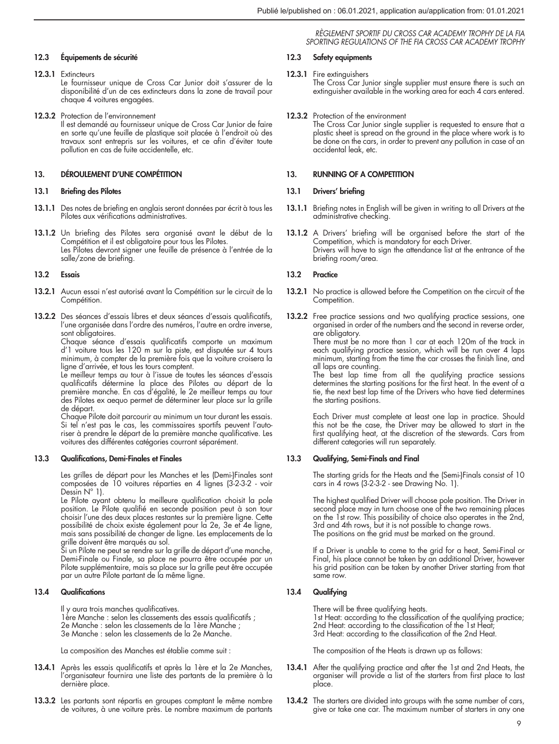## 12.3 Équipements de sécurité

- 12.3.1 Extincteurs Le fournisseur unique de Cross Car Junior doit s'assurer de la disponibilité d'un de ces extincteurs dans la zone de travail pour chaque 4 voitures engagées.
- 12.3.2 Protection de l'environnement

Il est demandé au fournisseur unique de Cross Car Junior de faire en sorte qu'une feuille de plastique soit placée à l'endroit où des travaux sont entrepris sur les voitures, et ce afin d'éviter toute pollution en cas de fuite accidentelle, etc.

## 13. DÉROULEMENT D'UNE COMPÉTITION

#### 13.1 Briefing des Pilotes

- 13.1.1 Des notes de briefing en anglais seront données par écrit à tous les Pilotes aux vérifications administratives.
- 13.1.2 Un briefing des Pilotes sera organisé avant le début de la Compétition et il est obligatoire pour tous les Pilotes. Les Pilotes devront signer une feuille de présence à l'entrée de la salle/zone de briefing.

## 13.2 Essais

- 13.2.1 Aucun essai n'est autorisé avant la Compétition sur le circuit de la Compétition.
- 13.2.2 Des séances d'essais libres et deux séances d'essais qualificatifs, l'une organisée dans l'ordre des numéros, l'autre en ordre inverse, sont obligatoires.

Chaque séance d'essais qualificatifs comporte un maximum d'1 voiture tous les 120 m sur la piste, est disputée sur 4 tours minimum, à compter de la première fois que la voiture croisera la ligne d'arrivée, et tous les tours comptent.

Le meilleur temps au tour à l'issue de toutes les séances d'essais qualificatifs détermine la place des Pilotes au départ de la première manche. En cas d'égalité, le 2e meilleur temps au tour des Pilotes ex aequo permet de déterminer leur place sur la grille de départ.

Chaque Pilote doit parcourir au minimum un tour durant les essais. Si tel n'est pas le cas, les commissaires sportifs peuvent l'autoriser à prendre le départ de la première manche qualificative. Les voitures des différentes catégories courront séparément.

### 13.3 Qualifications, Demi-Finales et Finales

Les grilles de départ pour les Manches et les (Demi-)Finales sont composées de 10 voitures réparties en 4 lignes (3-2-3-2 - voir Dessin N° 1).

Le Pilote ayant obtenu la meilleure qualification choisit la pole position. Le Pilote qualifié en seconde position peut à son tour choisir l'une des deux places restantes sur la première ligne. Cette possibilité de choix existe également pour la 2e, 3e et 4e ligne, mais sans possibilité de changer de ligne. Les emplacements de la

grille doivent être marqués au sol. Si un Pilote ne peut se rendre sur la grille de départ d'une manche, Demi-Finale ou Finale, sa place ne pourra être occupée par un Pilote supplémentaire, mais sa place sur la grille peut être occupée par un autre Pilote partant de la même ligne.

## 13.4 Qualifications

Il y aura trois manches qualificatives. 1ère Manche : selon les classements des essais qualificatifs ; 2e Manche : selon les classements de la 1ère Manche ; 3e Manche : selon les classements de la 2e Manche.

La composition des Manches est établie comme suit :

- 13.4.1 Après les essais qualificatifs et après la 1ère et la 2e Manches, l'organisateur fournira une liste des partants de la première à la dernière place.
- 13.3.2 Les partants sont répartis en groupes comptant le même nombre de voitures, à une voiture près. Le nombre maximum de partants

*RÈGLEMENT SPORTIF DU CROSS CAR ACADEMY TROPHY DE LA FIA SPORTING REGULATIONS OF THE FIA CROSS CAR ACADEMY TROPHY*

## 12.3 Safety equipments

12.3.1 Fire extinguishers The Cross Car Junior single supplier must ensure there is such an extinguisher available in the working area for each 4 cars entered.

12.3.2 Protection of the environment

The Cross Car Junior single supplier is requested to ensure that a plastic sheet is spread on the ground in the place where work is to be done on the cars, in order to prevent any pollution in case of an accidental leak, etc.

## 13. RUNNING OF A COMPETITION

#### 13.1 Drivers' briefing

- 13.1.1 Briefing notes in English will be given in writing to all Drivers at the administrative checking.
- 13.1.2 A Drivers' briefing will be organised before the start of the Competition, which is mandatory for each Driver. Drivers will have to sign the attendance list at the entrance of the briefing room/area.

## 13.2 Practice

- 13.2.1 No practice is allowed before the Competition on the circuit of the Competition.
- 13.2.2 Free practice sessions and two qualifying practice sessions, one organised in order of the numbers and the second in reverse order, are obligatory.

There must be no more than 1 car at each 120m of the track in each qualifying practice session, which will be run over 4 laps minimum, starting from the time the car crosses the finish line, and all laps are counting.

The best lap time from all the qualifying practice sessions determines the starting positions for the first heat. In the event of a tie, the next best lap time of the Drivers who have tied determines the starting positions.

Each Driver must complete at least one lap in practice. Should this not be the case, the Driver may be allowed to start in the first qualifying heat, at the discretion of the stewards. Cars from different categories will run separately.

## 13.3 Qualifying, Semi-Finals and Final

The starting grids for the Heats and the (Semi-)Finals consist of 10 cars in 4 rows (3-2-3-2 - see Drawing No. 1).

The highest qualified Driver will choose pole position. The Driver in second place may in turn choose one of the two remaining places on the 1st row. This possibility of choice also operates in the 2nd, 3rd and 4th rows, but it is not possible to change rows. The positions on the grid must be marked on the ground.

If a Driver is unable to come to the grid for a heat, Semi-Final or Final, his place cannot be taken by an additional Driver, however his grid position can be taken by another Driver starting from that same row.

## 13.4 Qualifying

There will be three qualifying heats.

1st Heat: according to the classification of the qualifying practice; 2nd Heat: according to the classification of the 1st Heat; 3rd Heat: according to the classification of the 2nd Heat.

The composition of the Heats is drawn up as follows:

- 13.4.1 After the qualifying practice and after the 1st and 2nd Heats, the organiser will provide a list of the starters from first place to last place.
- 13.4.2 The starters are divided into groups with the same number of cars, give or take one car. The maximum number of starters in any one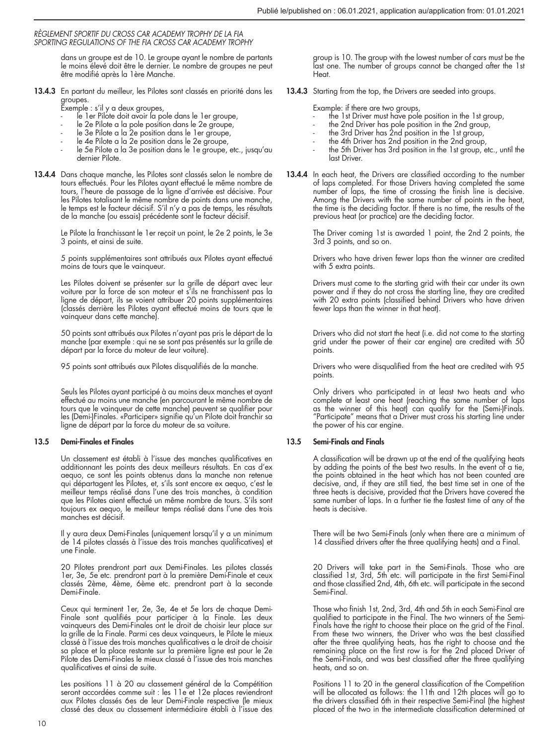dans un groupe est de 10. Le groupe ayant le nombre de partants le moins élevé doit être le dernier. Le nombre de groupes ne peut être modifié après la 1ère Manche.

13.4.3 En partant du meilleur, les Pilotes sont classés en priorité dans les groupes.

Exemple : s'il y a deux groupes,

- ense : um y a acon groupeu,<br>le 1er Pilote doit avoir la pole dans le 1er groupe,
- le 2e Pilote a la pole position dans le 2e groupe,
- le 3e Pilote a la 2e position dans le 1er groupe,
- le 4e Pilote a la 2e position dans le 2e groupe,
- le 5e Pilote a la 3e position dans le 1e groupe, etc., jusqu'au dernier Pilote.
- 13.4.4 Dans chaque manche, les Pilotes sont classés selon le nombre de tours effectués. Pour les Pilotes ayant effectué le même nombre de tours, l'heure de passage de la ligne d'arrivée est décisive. Pour les Pilotes totalisant le même nombre de points dans une manche, le temps est le facteur décisif. S'il n'y a pas de temps, les résultats de la manche (ou essais) précédente sont le facteur décisif.

Le Pilote la franchissant le 1er reçoit un point, le 2e 2 points, le 3e 3 points, et ainsi de suite.

5 points supplémentaires sont attribués aux Pilotes ayant effectué moins de tours que le vainqueur.

Les Pilotes doivent se présenter sur la grille de départ avec leur voiture par la force de son moteur et s'ils ne franchissent pas la ligne de départ, ils se voient attribuer 20 points supplémentaires (classés derrière les Pilotes ayant effectué moins de tours que le vainqueur dans cette manche).

50 points sont attribués aux Pilotes n'ayant pas pris le départ de la manche (par exemple : qui ne se sont pas présentés sur la grille de départ par la force du moteur de leur voiture).

95 points sont attribués aux Pilotes disqualifiés de la manche.

Seuls les Pilotes ayant participé à au moins deux manches et ayant effectué au moins une manche (en parcourant le même nombre de tours que le vainqueur de cette manche) peuvent se qualifier pour les (Demi-)Finales. «Participer» signifie qu'un Pilote doit franchir sa ligne de départ par la force du moteur de sa voiture.

## 13.5 Demi-Finales et Finales

Un classement est établi à l'issue des manches qualificatives en additionnant les points des deux meilleurs résultats. En cas d'ex aequo, ce sont les points obtenus dans la manche non retenue qui départagent les Pilotes, et, s'ils sont encore ex aequo, c'est le meilleur temps réalisé dans l'une des trois manches, à condition que les Pilotes aient effectué un même nombre de tours. S'ils sont toujours ex aequo, le meilleur temps réalisé dans l'une des trois manches est décisif.

Il y aura deux Demi-Finales (uniquement lorsqu'il y a un minimum de 14 pilotes classés à l'issue des trois manches qualificatives) et une Finale.

20 Pilotes prendront part aux Demi-Finales. Les pilotes classés 1er, 3e, 5e etc. prendront part à la première Demi-Finale et ceux classés 2ème, 4ème, 6ème etc. prendront part à la seconde Demi-Finale.

Ceux qui terminent 1er, 2e, 3e, 4e et 5e lors de chaque Demi-Finale sont qualifiés pour participer à la Finale. Les deux vainqueurs des Demi-Finales ont le droit de choisir leur place sur la grille de la Finale. Parmi ces deux vainqueurs, le Pilote le mieux classé à l'issue des trois manches qualificatives a le droit de choisir sa place et la place restante sur la première ligne est pour le 2e Pilote des Demi-Finales le mieux classé à l'issue des trois manches qualificatives et ainsi de suite.

Les positions 11 à 20 au classement général de la Compétition seront accordées comme suit : les 11e et 12e places reviendront aux Pilotes classés 6es de leur Demi-Finale respective (le mieux classé des deux au classement intermédiaire établi à l'issue des group is 10. The group with the lowest number of cars must be the last one. The number of groups cannot be changed after the 1st Heat.

13.4.3 Starting from the top, the Drivers are seeded into groups.

Example: if there are two groups,

- the 1st Driver must have pole position in the 1st group,
- 
- the 2nd Driver has pole position in the 2nd group, the 3rd Driver has 2nd position in the 1st group,
- the 4th Driver has 2nd position in the 2nd group,
- the 5th Driver has 3rd position in the 1st group, etc., until the last Driver.
- 13.4.4 In each heat, the Drivers are classified according to the number of laps completed. For those Drivers having completed the same number of laps, the time of crossing the finish line is decisive. Among the Drivers with the same number of points in the heat, the time is the deciding factor. If there is no time, the results of the previous heat (or practice) are the deciding factor.

The Driver coming 1st is awarded 1 point, the 2nd 2 points, the 3rd 3 points, and so on.

Drivers who have driven fewer laps than the winner are credited with 5 extra points.

Drivers must come to the starting grid with their car under its own power and if they do not cross the starting line, they are credited with 20 extra points (classified behind Drivers who have driven fewer laps than the winner in that heat).

Drivers who did not start the heat (i.e. did not come to the starting grid under the power of their car engine) are credited with 50 points.

Drivers who were disqualified from the heat are credited with 95 points.

Only drivers who participated in at least two heats and who complete at least one heat (reaching the same number of laps as the winner of this heat) can qualify for the (Semi-)Finals. "Participate" means that a Driver must cross his starting line under the power of his car engine.

## 13.5 Semi-Finals and Finals

A classification will be drawn up at the end of the qualifying heats by adding the points of the best two results. In the event of a tie, the points obtained in the heat which has not been counted are decisive, and, if they are still tied, the best time set in one of the three heats is decisive, provided that the Drivers have covered the same number of laps. In a further tie the fastest time of any of the heats is decisive.

There will be two Semi-Finals (only when there are a minimum of 14 classified drivers after the three qualifying heats) and a Final.

20 Drivers will take part in the Semi-Finals. Those who are classified 1st, 3rd, 5th etc. will participate in the first Semi-Final and those classified 2nd, 4th, 6th etc. will participate in the second Semi-Final.

Those who finish 1st, 2nd, 3rd, 4th and 5th in each Semi-Final are qualified to participate in the Final. The two winners of the Semi-Finals have the right to choose their place on the grid of the Final. From these two winners, the Driver who was the best classified after the three qualifying heats, has the right to choose and the remaining place on the first row is for the 2nd placed Driver of the Semi-Finals, and was best classified after the three qualifying heats, and so on.

Positions 11 to 20 in the general classification of the Competition will be allocated as follows: the 11th and 12th places will go to the drivers classified 6th in their respective Semi-Final (the highest placed of the two in the intermediate classification determined at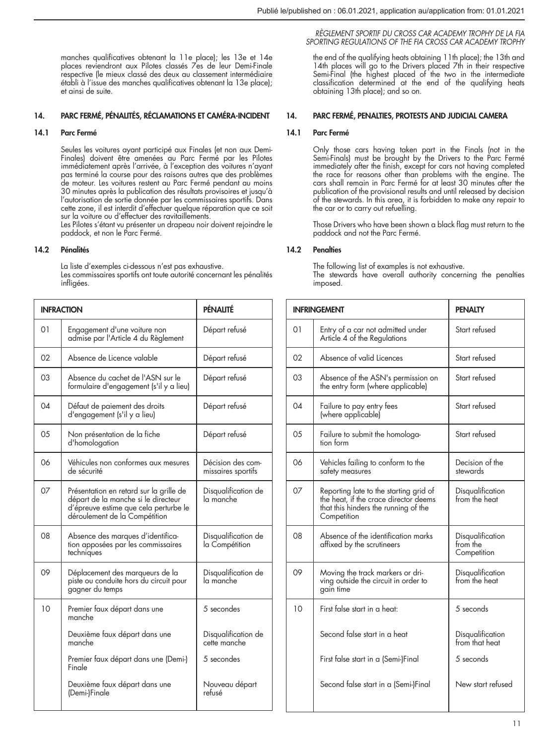manches qualificatives obtenant la 11e place); les 13e et 14e places reviendront aux Pilotes classés 7es de leur Demi-Finale respective (le mieux classé des deux au classement intermédiaire établi à l'issue des manches qualificatives obtenant la 13e place); et ainsi de suite.

## 14. PARC FERMÉ, PÉNALITÉS, RÉCLAMATIONS ET CAMÉRA-INCIDENT

### 14.1 Parc Fermé

Seules les voitures ayant participé aux Finales (et non aux Demi-Finales) doivent être amenées au Parc Fermé par les Pilotes immédiatement après l'arrivée, à l'exception des voitures n'ayant pas terminé la course pour des raisons autres que des problèmes de moteur. Les voitures restent au Parc Fermé pendant au moins 30 minutes après la publication des résultats provisoires et jusqu'à l'autorisation de sortie donnée par les commissaires sportifs. Dans cette zone, il est interdit d'effectuer quelque réparation que ce soit sur la voiture ou d'effectuer des ravitaillements.

Les Pilotes s'étant vu présenter un drapeau noir doivent rejoindre le paddock, et non le Parc Fermé.

## 14.2 Pénalités

La liste d'exemples ci-dessous n'est pas exhaustive.

Les commissaires sportifs ont toute autorité concernant les pénalités infligées.

| <b>INFRACTION</b> |                                                                                                                                                          | PÉNALITÉ                                |
|-------------------|----------------------------------------------------------------------------------------------------------------------------------------------------------|-----------------------------------------|
| 01                | Engagement d'une voiture non<br>admise par l'Article 4 du Règlement                                                                                      | Départ refusé                           |
| 02                | Absence de Licence valable                                                                                                                               | Départ refusé                           |
| 03                | Absence du cachet de l'ASN sur le<br>formulaire d'engagement (s'il y a lieu)                                                                             | Départ refusé                           |
| 04                | Défaut de paiement des droits<br>d'engagement (s'il y a lieu)                                                                                            | Départ refusé                           |
| 05                | Non présentation de la fiche<br>d'homologation                                                                                                           | Départ refusé                           |
| 06                | Véhicules non conformes aux mesures<br>de sécurité                                                                                                       | Décision des com-<br>missaires sportifs |
| 07                | Présentation en retard sur la grille de<br>départ de la manche si le directeur<br>d'épreuve estime que cela perturbe le<br>déroulement de la Compétition | Disqualification de<br>la manche        |
| 08                | Absence des marques d'identifica-<br>tion apposées par les commissaires<br>techniques                                                                    | Disqualification de<br>la Compétition   |
| 09                | Déplacement des marqueurs de la<br>piste ou conduite hors du circuit pour<br>gagner du temps                                                             | Disqualification de<br>la manche        |
| 10                | Premier faux départ dans une<br>manche                                                                                                                   | 5 secondes                              |
|                   | Deuxième faux départ dans une<br>manche                                                                                                                  | Disqualification de<br>cette manche     |
|                   | Premier faux départ dans une (Demi-)<br>Finale                                                                                                           | 5 secondes                              |
|                   | Deuxième faux départ dans une<br>(Demi-)Finale                                                                                                           | Nouveau départ<br>refusé                |

## *RÈGLEMENT SPORTIF DU CROSS CAR ACADEMY TROPHY DE LA FIA SPORTING REGULATIONS OF THE FIA CROSS CAR ACADEMY TROPHY*

the end of the qualifying heats obtaining 11th place); the 13th and 14th places will go to the Drivers placed 7th in their respective Semi-Final (the highest placed of the two in the intermediate classification determined at the end of the qualifying heats obtaining 13th place); and so on.

## 14. PARC FERMÉ, PENALTIES, PROTESTS AND JUDICIAL CAMERA

#### 14.1 Parc Fermé

Only those cars having taken part in the Finals (not in the Semi-Finals) must be brought by the Drivers to the Parc Fermé immediately after the finish, except for cars not having completed the race for reasons other than problems with the engine. The cars shall remain in Parc Fermé for at least 30 minutes after the publication of the provisional results and until released by decision of the stewards. In this area, it is forbidden to make any repair to the car or to carry out refuelling.

Those Drivers who have been shown a black flag must return to the paddock and not the Parc Fermé.

### 14.2 Penalties

The following list of examples is not exhaustive. The stewards have overall authority concerning the penalties imposed.

|    | <b>INFRINGEMENT</b>                                                                                                                    | <b>PENALTY</b>                              |
|----|----------------------------------------------------------------------------------------------------------------------------------------|---------------------------------------------|
| 01 | Entry of a car not admitted under<br>Article 4 of the Regulations                                                                      | Start refused                               |
| 02 | Absence of valid Licences                                                                                                              | Start refused                               |
| 03 | Absence of the ASN's permission on<br>the entry form (where applicable)                                                                | Start refused                               |
| 04 | Failure to pay entry fees<br>(where applicable)                                                                                        | Start refused                               |
| 05 | Failure to submit the homologa-<br>tion form                                                                                           | Start refused                               |
| 06 | Vehicles failing to conform to the<br>safety measures                                                                                  | Decision of the<br>stewards                 |
| 07 | Reporting late to the starting grid of<br>the heat, if the crace director deems<br>that this hinders the running of the<br>Competition | Disqualification<br>from the heat           |
| 08 | Absence of the identification marks<br>affixed by the scrutineers                                                                      | Disqualification<br>from the<br>Competition |
| 09 | Moving the track markers or dri-<br>ving outside the circuit in order to<br>gain time                                                  | Disqualification<br>from the heat           |
| 10 | First false start in a heat:                                                                                                           | 5 seconds                                   |
|    | Second false start in a heat                                                                                                           | Disqualification<br>from that heat          |
|    | First false start in a (Semi-)Final                                                                                                    | 5 seconds                                   |
|    | Second false start in a (Semi-)Final                                                                                                   | New start refused                           |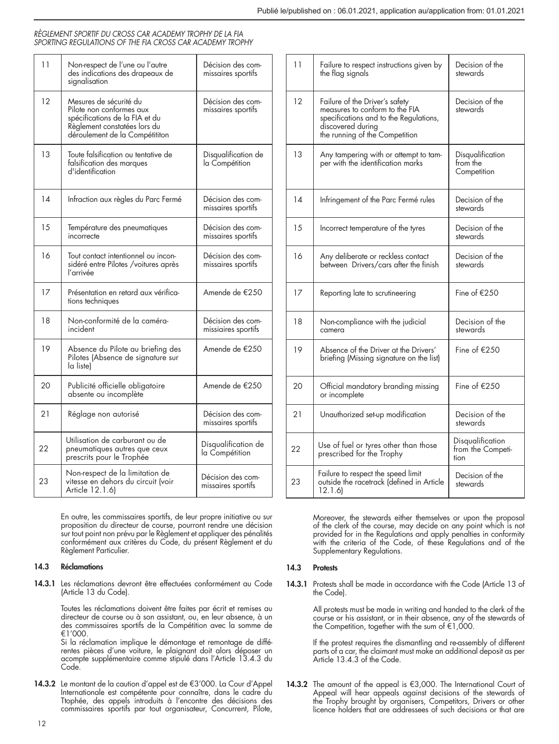| 11 | Non-respect de l'une ou l'autre<br>des indications des drapeaux de<br>signalisation                                                                    | Décision des com-<br>missaires sportifs  |
|----|--------------------------------------------------------------------------------------------------------------------------------------------------------|------------------------------------------|
| 12 | Mesures de sécurité du<br>Pilote non conformes aux<br>spécifications de la FIA et du<br>Règlement constatées lors du<br>déroulement de la Compétititon | Décision des com-<br>missaires sportifs  |
| 13 | Toute falsification ou tentative de<br>falsification des marques<br>d'identification                                                                   | Disqualitication de<br>la Compétition    |
| 14 | Infraction aux règles du Parc Fermé                                                                                                                    | Décision des com-<br>missaires sportifs  |
| 15 | Température des pneumatiques<br>incorrecte                                                                                                             | Décision des com-<br>missaires sportits  |
| 16 | Tout contact intentionnel ou incon-<br>sidéré entre Pilotes / voitures après<br>l'arrivée                                                              | Décision des com-<br>missaires sportifs  |
| 17 | Présentation en retard aux vérifica-<br>tions techniques                                                                                               | Amende de €250                           |
| 18 | Non-conformité de la caméra-<br>incident                                                                                                               | Décision des com-<br>missiaires sportifs |
| 19 | Absence du Pilote au briefing des<br>Pilotes (Absence de signature sur<br>la listel                                                                    | Amende de €250                           |
| 20 | Publicité officielle obligatoire<br>absente ou incomplète                                                                                              | Amende de €250                           |
| 21 | Réglage non autorisé                                                                                                                                   | Décision des com-<br>missaires sportits  |
| 22 | Utilisation de carburant ou de<br>pneumatiques autres que ceux<br>prescrits pour le Trophée                                                            | Disqualification de<br>la Compétition    |
| 23 | Non-respect de la limitation de<br>vitesse en dehors du circuit (voir<br>Article 12.1.6)                                                               | Décision des com-<br>missaires sportits  |

En outre, les commissaires sportifs, de leur propre initiative ou sur proposition du directeur de course, pourront rendre une décision sur tout point non prévu par le Règlement et appliquer des pénalités conformément aux critères du Code, du présent Règlement et du Règlement Particulier.

## 14.3 Réclamations

14.3.1 Les réclamations devront être effectuées conformément au Code (Article 13 du Code).

> Toutes les réclamations doivent être faites par écrit et remises au directeur de course ou à son assistant, ou, en leur absence, à un des commissaires sportifs de la Compétition avec la somme de €1'000.

> Si la réclamation implique le démontage et remontage de différentes pièces d'une voiture, le plaignant doit alors déposer un acompte supplémentaire comme stipulé dans l'Article 13.4.3 du Code.

14.3.2 Le montant de la caution d'appel est de €3'000. La Cour d'Appel Internationale est compétente pour connaître, dans le cadre du Ttophée, des appels introduits à l'encontre des décisions des commissaires sportifs par tout organisateur, Concurrent, Pilote,

| 11 | Failure to respect instructions given by<br>the flag signals                                                                                                      | Decision of the<br>stewards                   |
|----|-------------------------------------------------------------------------------------------------------------------------------------------------------------------|-----------------------------------------------|
| 12 | Failure of the Driver's safety<br>measures to conform to the FIA<br>specifications and to the Regulations,<br>discovered during<br>the running of the Competition | Decision of the<br>stewards                   |
| 13 | Any tampering with or attempt to tam-<br>per with the identification marks                                                                                        | Disqualification<br>from the<br>Competition   |
| 14 | Infringement of the Parc Fermé rules                                                                                                                              | Decision of the<br>stewards                   |
| 15 | Incorrect temperature of the tyres                                                                                                                                | Decision of the<br>stewards                   |
| 16 | Any deliberate or reckless contact<br>between Drivers/cars after the finish                                                                                       | Decision of the<br>stewards                   |
| 17 | Reporting late to scrutineering                                                                                                                                   | Fine of €250                                  |
| 18 | Non-compliance with the judicial<br>camera                                                                                                                        | Decision of the<br>stewards                   |
| 19 | Absence of the Driver at the Drivers'<br>briefing (Missing signature on the list)                                                                                 | Fine of $£250$                                |
| 20 | Official mandatory branding missing<br>or incomplete                                                                                                              | Fine of $£250$                                |
| 21 | Unauthorized set-up modification                                                                                                                                  | Decision of the<br>stewards                   |
| 22 | Use of fuel or tyres other than those<br>prescribed for the Trophy                                                                                                | Disqualification<br>from the Competi-<br>tion |
| 23 | Failure to respect the speed limit<br>outside the racetrack (defined in Article<br>12.1.6                                                                         | Decision of the<br>stewards                   |

Moreover, the stewards either themselves or upon the proposal of the clerk of the course, may decide on any point which is not provided for in the Regulations and apply penalties in conformity with the criteria of the Code, of these Regulations and of the Supplementary Regulations.

## 14.3 Protests

14.3.1 Protests shall be made in accordance with the Code (Article 13 of the Code).

> All protests must be made in writing and handed to the clerk of the course or his assistant, or in their absence, any of the stewards of the Competition, together with the sum of €1,000.

> If the protest requires the dismantling and re-assembly of different parts of a car, the claimant must make an additional deposit as per Article 13.4.3 of the Code.

**14.3.2** The amount of the appeal is €3,000. The International Court of Appeal will hear appeals against decisions of the stewards of<br>the stewards of the stewards of the trophy brought by organisers, Competitors, Drivers licence holders that are addressees of such decisions or that are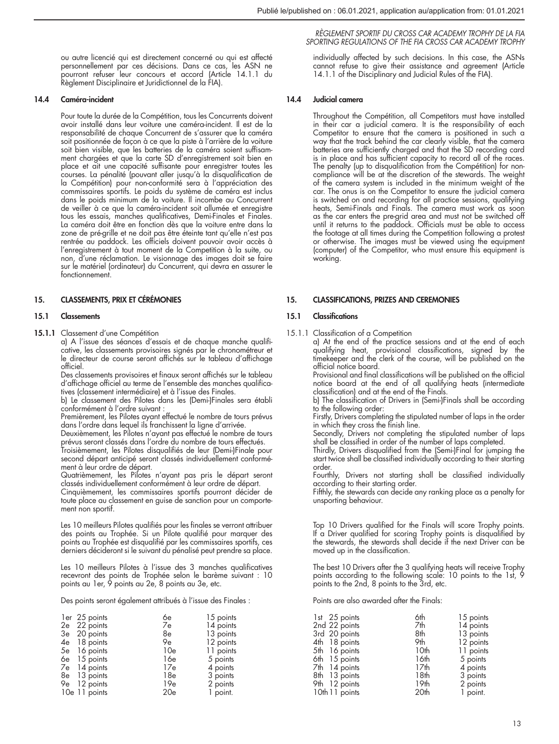ou autre licencié qui est directement concerné ou qui est affecté personnellement par ces décisions. Dans ce cas, les ASN ne pourront refuser leur concours et accord (Article 14.1.1 du Règlement Disciplinaire et Juridictionnel de la FIA).

## 14.4 Caméra-incident

Pour toute la durée de la Compétition, tous les Concurrents doivent avoir installé dans leur voiture une caméra-incident. Il est de la responsabilité de chaque Concurrent de s'assurer que la caméra soit positionnée de façon à ce que la piste à l'arrière de la voiture soit bien visible, que les batteries de la caméra soient suffisam-ment chargées et que la carte SD d'enregistrement soit bien en place et ait une capacité suffisante pour enregistrer toutes les courses. La pénalité (pouvant aller jusqu'à la disqualification de la Compétition) pour non-conformité sera à l'appréciation des commissaires sportifs. Le poids du système de caméra est inclus dans le poids minimum de la voiture. Il incombe au Concurrent de veiller à ce que la caméra-incident soit allumée et enregistre tous les essais, manches qualificatives, Demi-Finales et Finales. La caméra doit être en fonction dès que la voiture entre dans la zone de pré-grille et ne doit pas être éteinte tant qu'elle n'est pas rentrée au paddock. Les officiels doivent pouvoir avoir accès à l'enregistrement à tout moment de la Competition à la suite, ou non, d'une réclamation. Le visionnage des images doit se faire sur le matériel (ordinateur) du Concurrent, qui devra en assurer le fonctionnement.

### 15. CLASSEMENTS, PRIX ET CÉRÉMONIES

#### 15.1 Classements

15.1.1 Classement d'une Compétition

a) A l'issue des séances d'essais et de chaque manche qualificative, les classements provisoires signés par le chronométreur et le directeur de course seront affichés sur le tableau d'affichage officiel.

Des classements provisoires et finaux seront affichés sur le tableau d'affichage officiel au terme de l'ensemble des manches qualificatives (classement intermédiaire) et à l'issue des Finales.

b) Le classement des Pilotes dans les (Demi-)Finales sera établi conformément à l'ordre suivant :

Premièrement, les Pilotes ayant effectué le nombre de tours prévus dans l'ordre dans lequel ils franchissent la ligne d'arrivée.

Deuxièmement, les Pilotes n'ayant pas effectué le nombre de tours prévus seront classés dans l'ordre du nombre de tours effectués.

Troisièmement, les Pilotes disqualifiés de leur (Demi-)Finale pour second départ anticipé seront classés individuellement conformément à leur ordre de départ.

Quatrièmement, les Pilotes n'ayant pas pris le départ seront classés individuellement conformément à leur ordre de départ.

Cinquièmement, les commissaires sportifs pourront décider de toute place au classement en guise de sanction pour un comportement non sportif.

Les 10 meilleurs Pilotes qualifiés pour les finales se verront attribuer des points au Trophée. Si un Pilote qualifié pour marquer des points au Trophée est disqualifié par les commissaires sportifs, ces derniers décideront si le suivant du pénalisé peut prendre sa place.

Les 10 meilleurs Pilotes à l'issue des 3 manches qualificatives recevront des points de Trophée selon le barème suivant : 10 points au 1er, 9 points au 2e, 8 points au 3e, etc.

Des points seront également attribués à l'issue des Finales :

| ler 25 points<br>2e 22 points<br>3e 20 points<br>4e 18 points<br>5e 16 points<br>6e 15 points | 6e<br>7e<br>8e<br>9e<br>10e<br>16e | 15 points<br>14 points<br>13 points<br>12 points<br>11 points<br>5 points |
|-----------------------------------------------------------------------------------------------|------------------------------------|---------------------------------------------------------------------------|
| 7e 14 points                                                                                  | 17e                                | 4 points                                                                  |
| 8e 13 points                                                                                  | 18e                                | 3 points                                                                  |
| 9e 12 points                                                                                  | 19e                                | 2 points                                                                  |
| 10e 11 points                                                                                 | 20e                                | 1 point.                                                                  |

#### *RÈGLEMENT SPORTIF DU CROSS CAR ACADEMY TROPHY DE LA FIA SPORTING REGULATIONS OF THE FIA CROSS CAR ACADEMY TROPHY*

individually affected by such decisions. In this case, the ASNs cannot refuse to give their assistance and agreement (Article 14.1.1 of the Disciplinary and Judicial Rules of the FIA).

## 14.4 Judicial camera

Throughout the Compétition, all Competitors must have installed in their car a judicial camera. It is the responsibility of each Competitor to ensure that the camera is positioned in such a way that the track behind the car clearly visible, that the camera batteries are sufficiently charged and that the SD recording card is in place and has sufficient capacity to record all of the races. The penalty (up to disqualification from the Compétition) for non-compliance will be at the discretion of the stewards. The weight of the camera system is included in the minimum weight of the car. The onus is on the Competitor to ensure the judicial camera is switched on and recording for all practice sessions, qualifying heats, Semi-Finals and Finals. The camera must work as soon as the car enters the pre-grid area and must not be switched off until it returns to the paddock. Officials must be able to access the footage at all times during the Competition following a protest or otherwise. The images must be viewed using the equipment (computer) of the Competitor, who must ensure this equipment is working.

#### 15. CLASSIFICATIONS, PRIZES AND CEREMONIES

#### 15.1 Classifications

15.1.1 Classification of a Competition a) At the end of the practice sessions and at the end of each qualifying heat, provisional classifications, signed by the timekeeper and the clerk of the course, will be published on the official notice board.

Provisional and final classifications will be published on the official notice board at the end of all qualifying heats (intermediate classification) and at the end of the Finals.

b) The classification of Drivers in (Semi-)Finals shall be according to the following order:

Firstly, Drivers completing the stipulated number of laps in the order in which they cross the finish line.

Secondly, Drivers not completing the stipulated number of laps shall be classified in order of the number of laps completed.

Thirdly, Drivers disqualified from the (Semi-)Final for jumping the start twice shall be classified individually according to their starting order.

Fourthly, Drivers not starting shall be classified individually according to their starting order.

Fifthly, the stewards can decide any ranking place as a penalty for unsporting behaviour.

Top 10 Drivers qualified for the Finals will score Trophy points. If a Driver qualified for scoring Trophy points is disqualified by the stewards, the stewards shall decide if the next Driver can be moved up in the classification.

The best 10 Drivers after the 3 qualifying heats will receive Trophy points according to the following scale: 10 points to the 1st, 9 points to the 2nd, 8 points to the 3rd, etc.

Points are also awarded after the Finals:

| 1st 25 points  | 6th              | 15 points |
|----------------|------------------|-----------|
| 2nd 22 points  | 7th              | 14 points |
| 3rd 20 points  | 8th              | 13 points |
| 4th 18 points  | 9th              | 12 points |
| 5th 16 points  | 10th             | 11 points |
| 6th 15 points  | 16th             | 5 points  |
| 7th 14 points  | 17 <sub>th</sub> | 4 points  |
| 8th 13 points  | 18th             | 3 points  |
| 9th 12 points  | 19 <sub>th</sub> | 2 points  |
| 10th 11 points | 20th             | 1 point.  |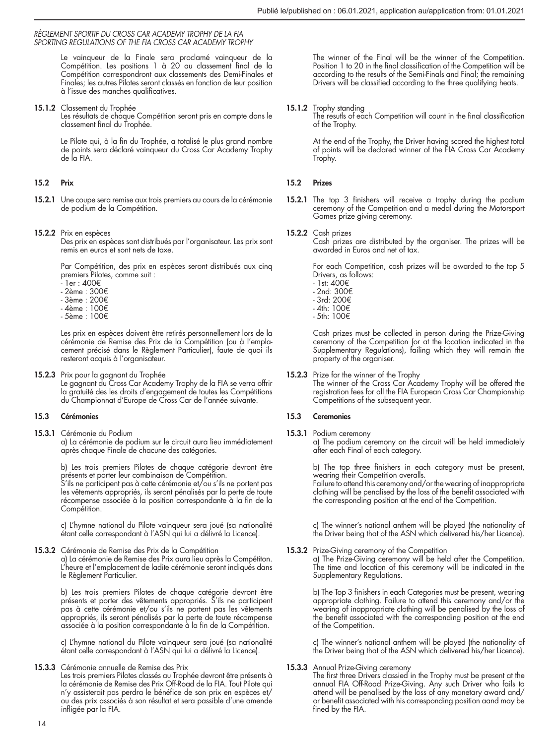Le vainqueur de la Finale sera proclamé vainqueur de la Compétition. Les positions 1 à 20 au classement final de la Compétition correspondront aux classements des Demi-Finales et Finales; les autres Pilotes seront classés en fonction de leur position à l'issue des manches qualificatives.

15.1.2 Classement du Trophée

Les résultats de chaque Compétition seront pris en compte dans le classement final du Trophée.

Le Pilote qui, à la fin du Trophée, a totalisé le plus grand nombre de points sera déclaré vainqueur du Cross Car Academy Trophy de la FIA.

## 15.2 Prix

- 15.2.1 Une coupe sera remise aux trois premiers au cours de la cérémonie de podium de la Compétition.
- 15.2.2 Prix en espèces Des prix en espèces sont distribués par l'organisateur. Les prix sont remis en euros et sont nets de taxe.

Par Compétition, des prix en espèces seront distribués aux cinq premiers Pilotes, comme suit :

- 1er : 400€
- 2ème : 300€
- 3ème : 200€
- 4ème : 100€
- 5ème : 100€

Les prix en espèces doivent être retirés personnellement lors de la cérémonie de Remise des Prix de la Compétition (ou à l'emplacement précisé dans le Règlement Particulier), faute de quoi ils resteront acquis à l'organisateur.

15.2.3 Prix pour la gagnant du Trophée

Le gagnant du Cross Car Academy Trophy de la FIA se verra offrir la gratuité des les droits d'engagement de toutes les Compétitions du Championnat d'Europe de Cross Car de l'année suivante.

## 15.3 Cérémonies

15.3.1 Cérémonie du Podium a) La cérémonie de podium sur le circuit aura lieu immédiatement après chaque Finale de chacune des catégories.

b) Les trois premiers Pilotes de chaque catégorie devront être

présents et porter leur combinaison de Compétition. S'ils ne participent pas à cette cérémonie et/ou s'ils ne portent pas les vêtements appropriés, ils seront pénalisés par la perte de toute récompense associée à la position correspondante à la fin de la Compétition.

c) L'hymne national du Pilote vainqueur sera joué (sa nationalité étant celle correspondant à l'ASN qui lui a délivré la Licence).

15.3.2 Cérémonie de Remise des Prix de la Compétition a) La cérémonie de Remise des Prix aura lieu après la Compétiton. L'heure et l'emplacement de ladite cérémonie seront indiqués dans le Règlement Particulier.

> b) Les trois premiers Pilotes de chaque catégorie devront être présents et porter des vêtements appropriés. S'ils ne participent pas à cette cérémonie et/ou s'ils ne portent pas les vêtements appropriés, ils seront pénalisés par la perte de toute récompense associée à la position correspondante à la fin de la Compétition.

> c) L'hymne national du Pilote vainqueur sera joué (sa nationalité étant celle correspondant à l'ASN qui lui a délivré la Licence).

15.3.3 Cérémonie annuelle de Remise des Prix

Les trois premiers Pilotes classés au Trophée devront être présents à la cérémonie de Remise des Prix Off-Road de la FIA. Tout Pilote qui n'y assisterait pas perdra le bénéfice de son prix en espèces et/ ou des prix associés à son résultat et sera passible d'une amende infligée par la FIA.

The winner of the Final will be the winner of the Competition. Position 1 to 20 in the final classification of the Competition will be according to the results of the Semi-Finals and Final; the remaining Drivers will be classified according to the three qualifying heats.

## 15.1.2 Trophy standing

The resutls of each Competition will count in the final classification of the Trophy.

At the end of the Trophy, the Driver having scored the highest total of points will be declared winner of the FIA Cross Car Academy Trophy.

# 15.2 Prizes

15.2.1 The top 3 finishers will receive a trophy during the podium ceremony of the Competition and a medal during the Motorsport Games prize giving ceremony.

### 15.2.2 Cash prizes

Cash prizes are distributed by the organiser. The prizes will be awarded in Euros and net of tax.

For each Competition, cash prizes will be awarded to the top 5 Drivers, as follows:

- 1st: 400€
- 2nd: 300€
- 3rd: 200€ - 4th: 100€
- 5th: 100€

Cash prizes must be collected in person during the Prize-Giving ceremony of the Competition (or at the location indicated in the Supplementary Regulations), failing which they will remain the property of the organiser.

15.2.3 Prize for the winner of the Trophy The winner of the Cross Car Academy Trophy will be offered the registration fees for all the FIA European Cross Car Championship Competitions of the subsequent year.

## 15.3 Ceremonies

15.3.1 Podium ceremony a) The podium ceremony on the circuit will be held immediately after each Final of each category.

> b) The top three finishers in each category must be present, wearing their Competition overalls.

> Failure to attend this ceremony and/or the wearing of inappropriate clothing will be penalised by the loss of the benefit associated with the corresponding position at the end of the Competition.

> c) The winner's national anthem will be played (the nationality of the Driver being that of the ASN which delivered his/her Licence).

15.3.2 Prize-Giving ceremony of the Competition

a) The Prize-Giving ceremony will be held after the Competition. The time and location of this ceremony will be indicated in the Supplementary Regulations.

b) The Top 3 finishers in each Categories must be present, wearing appropriate clothing. Failure to attend this ceremony and/or the wearing of inappropriate clothing will be penalised by the loss of the benefit associated with the corresponding position at the end of the Competition.

c) The winner's national anthem will be played (the nationality of the Driver being that of the ASN which delivered his/her Licence).

15.3.3 Annual Prize-Giving ceremony

The first three Drivers classied in the Trophy must be present at the annual FIA Off-Road Prize-Giving. Any such Driver who fails to attend will be penalised by the loss of any monetary award and/ or benefit associated with his corresponding position aand may be fined by the FIA.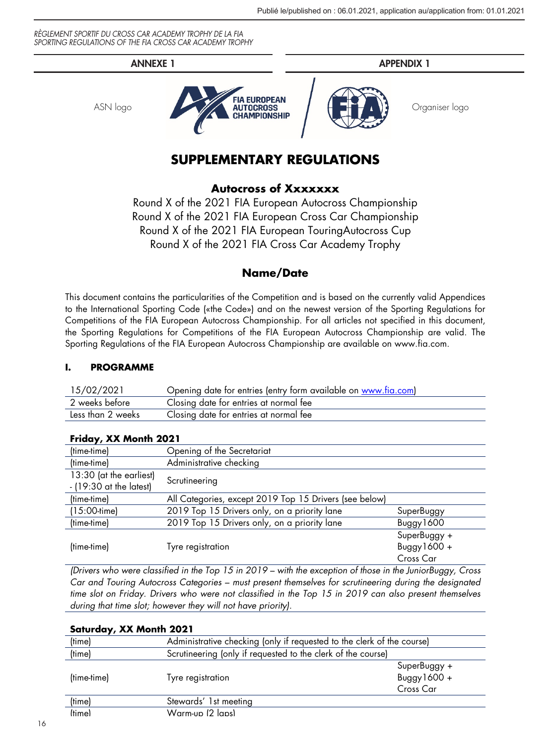

# **SUPPLEMENTARY REGULATIONS**

# **Autocross of Xxxxxxx**

Round X of the 2021 FIA European Autocross Championship Round X of the 2021 FIA European Cross Car Championship Round X of the 2021 FIA European TouringAutocross Cup Round X of the 2021 FIA Cross Car Academy Trophy

# **Name/Date**

This document contains the particularities of the Competition and is based on the currently valid Appendices to the International Sporting Code («the Code») and on the newest version of the Sporting Regulations for Competitions of the FIA European Autocross Championship. For all articles not specified in this document, the Sporting Regulations for Competitions of the FIA European Autocross Championship are valid. The Sporting Regulations of the FIA European Autocross Championship are available on www.fia.com.

# **I. PROGRAMME**

| 15/02/2021        | Opening date for entries (entry form available on www.fia.com) |
|-------------------|----------------------------------------------------------------|
| 2 weeks before    | Closing date for entries at normal fee                         |
| Less than 2 weeks | Closing date for entries at normal fee                         |

| <b>Friggy, AA MONIN ZUZ I</b>                        |                                                        |                |
|------------------------------------------------------|--------------------------------------------------------|----------------|
| (time-time)                                          | Opening of the Secretariat                             |                |
| (time-time)                                          | Administrative checking                                |                |
| 13:30 (at the earliest)<br>$-$ (19:30 at the latest) | Scrutineering                                          |                |
| (time-time)                                          | All Categories, except 2019 Top 15 Drivers (see below) |                |
| $(15:00$ -time)                                      | 2019 Top 15 Drivers only, on a priority lane           | SuperBuggy     |
| (time-time)                                          | 2019 Top 15 Drivers only, on a priority lane           | Buggy1600      |
|                                                      |                                                        | SuperBuggy +   |
| (time-time)                                          | Tyre registration                                      | Buggy $1600 +$ |
|                                                      |                                                        | Cross Car      |

# **Friday, XX Month 2021**

*(Drivers who were classified in the Top 15 in 2019 – with the exception of those in the JuniorBuggy, Cross Car and Touring Autocross Categories – must present themselves for scrutineering during the designated time slot on Friday. Drivers who were not classified in the Top 15 in 2019 can also present themselves during that time slot; however they will not have priority).*

| Saturday, XX Month 2021 |                                                                        |                |
|-------------------------|------------------------------------------------------------------------|----------------|
| (time)                  | Administrative checking (only if requested to the clerk of the course) |                |
| (time)                  | Scrutineering (only if requested to the clerk of the course)           |                |
|                         |                                                                        | SuperBuggy +   |
| (time-time)             | Tyre registration                                                      | Buggy $1600 +$ |
|                         |                                                                        | Cross Car      |
| (time)                  | Stewards' 1st meeting                                                  |                |
| <i>(time)</i>           | Warm-un 12 lans)                                                       |                |
|                         |                                                                        |                |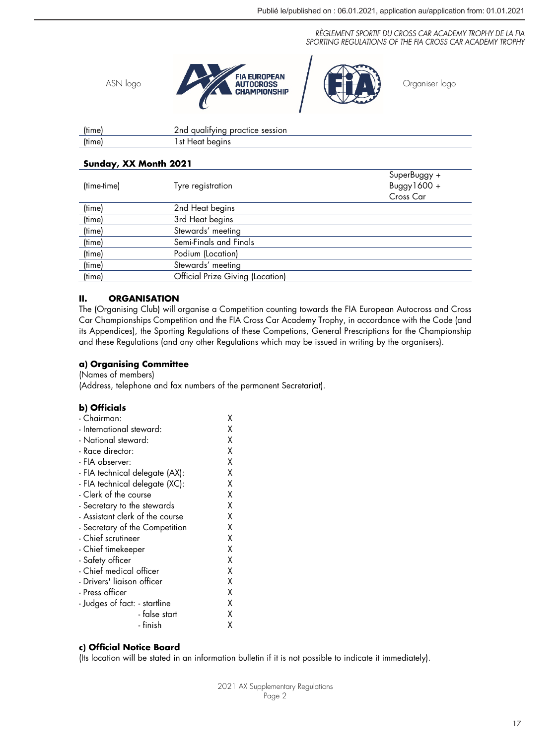

| (time) | 2nd qualitying practice session |
|--------|---------------------------------|
| (time) | lst Heat beains                 |
|        |                                 |

# **Sunday, XX Month 2021**

| (time-time) | Tyre registration                | SuperBuggy +<br>Buggy $1600 +$<br>Cross Car |
|-------------|----------------------------------|---------------------------------------------|
| (time)      | 2nd Heat begins                  |                                             |
| (time)      | 3rd Heat begins                  |                                             |
| (time)      | Stewards' meeting                |                                             |
| (time)      | Semi-Finals and Finals           |                                             |
| (time)      | Podium (Location)                |                                             |
| (time)      | Stewards' meeting                |                                             |
| (time)      | Official Prize Giving (Location) |                                             |

# **II. ORGANISATION**

The (Organising Club) will organise a Competition counting towards the FIA European Autocross and Cross Car Championships Competition and the FIA Cross Car Academy Trophy, in accordance with the Code (and its Appendices), the Sporting Regulations of these Competions, General Prescriptions for the Championship and these Regulations (and any other Regulations which may be issued in writing by the organisers).

# **a) Organising Committee**

(Names of members)

(Address, telephone and fax numbers of the permanent Secretariat).

## **b) Officials**

| - Chairman:                     | χ |
|---------------------------------|---|
| - International steward:        | χ |
| - National steward:             | χ |
| - Race director:                | χ |
| - FIA observer:                 | χ |
| - FIA technical delegate (AX):  | χ |
| - FIA technical delegate (XC):  | χ |
| - Clerk of the course           | χ |
| - Secretary to the stewards     | χ |
| - Assistant clerk of the course | χ |
| - Secretary of the Competition  | χ |
| - Chief scrutineer              | χ |
| - Chief timekeeper              | χ |
| - Safety officer                | χ |
| - Chief medical officer         | χ |
| - Drivers' liaison officer      | χ |
| - Press officer                 | χ |
| - Judges of fact: - startline   | χ |
| - false start                   | χ |
| - finish                        | χ |
|                                 |   |

# **c) Official Notice Board**

(Its location will be stated in an information bulletin if it is not possible to indicate it immediately).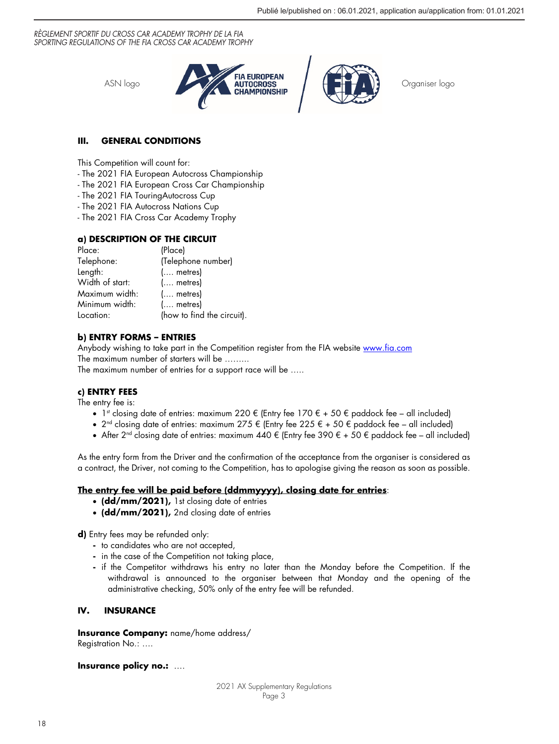

# **III. GENERAL CONDITIONS**

This Competition will count for:

- The 2021 FIA European Autocross Championship
- The 2021 FIA European Cross Car Championship
- The 2021 FIA TouringAutocross Cup
- The 2021 FIA Autocross Nations Cup
- The 2021 FIA Cross Car Academy Trophy

# **a) DESCRIPTION OF THE CIRCUIT**

| Place:          | (Place)                    |
|-----------------|----------------------------|
| Telephone:      | (Telephone number)         |
| Length:         | $($ metres)                |
| Width of start: | $($ metres)                |
| Maximum width:  | $($ metres)                |
| Minimum width:  | $($ metres)                |
| Location:       | (how to find the circuit). |

# **b) ENTRY FORMS – ENTRIES**

Anybody wishing to take part in the Competition register from the FIA website www.fia.com The maximum number of starters will be ……... The maximum number of entries for a support race will be …..

# **c) ENTRY FEES**

The entry fee is:

- 1<sup>st</sup> closing date of entries: maximum 220 € (Entry fee 170 € + 50 € paddock fee all included)
- $2^{nd}$  closing date of entries: maximum  $275 \notin$  (Entry fee 225  $\in$  + 50  $\in$  paddock fee all included)
- After 2<sup>nd</sup> closing date of entries: maximum 440  $\epsilon$  (Entry fee 390  $\epsilon$  + 50  $\epsilon$  paddock fee all included)

As the entry form from the Driver and the confirmation of the acceptance from the organiser is considered as a contract, the Driver, not coming to the Competition, has to apologise giving the reason as soon as possible.

# **The entry fee will be paid before (ddmmyyyy), closing date for entries**:

- **(dd/mm/2021),** 1st closing date of entries
- **(dd/mm/2021),** 2nd closing date of entries

**d)** Entry fees may be refunded only:

- **-** to candidates who are not accepted,
- **-** in the case of the Competition not taking place,
- **-** if the Competitor withdraws his entry no later than the Monday before the Competition. If the withdrawal is announced to the organiser between that Monday and the opening of the administrative checking, 50% only of the entry fee will be refunded.

# **IV. INSURANCE**

**Insurance Company:** name/home address/ Registration No.: ….

**Insurance policy no.:** ….

2021 AX Supplementary Regulations Page 3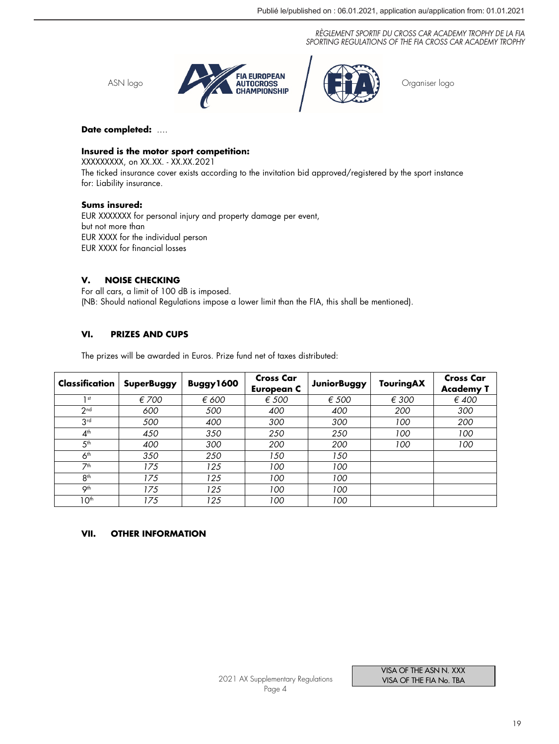

## **Date completed:** ….

## **Insured is the motor sport competition:**

XXXXXXXXX, on XX.XX. - XX.XX.2021 The ticked insurance cover exists according to the invitation bid approved/registered by the sport instance for: Liability insurance.

## **Sums insured:**

EUR XXXXXXX for personal injury and property damage per event, but not more than EUR XXXX for the individual person EUR XXXX for financial losses

# **V. NOISE CHECKING**

For all cars, a limit of 100 dB is imposed. (NB: Should national Regulations impose a lower limit than the FIA, this shall be mentioned).

# **VI. PRIZES AND CUPS**

The prizes will be awarded in Euros. Prize fund net of taxes distributed:

| Classification   | <b>SuperBuggy</b> | Buggy1600 | <b>Cross Car</b><br><b>European C</b> | <b>JuniorBuggy</b> | TouringAX | <b>Cross Car</b><br><b>Academy T</b> |
|------------------|-------------------|-----------|---------------------------------------|--------------------|-----------|--------------------------------------|
| 1 <sub>st</sub>  | € 700             | € 600     | $\epsilon$ 500                        | € 500              | € 300     | €400                                 |
| 2 <sub>nd</sub>  | 600               | 500       | 400                                   | 400                | 200       | 300                                  |
| 3 <sup>rd</sup>  | 500               | 400       | 300                                   | 300                | 100       | 200                                  |
| 4 <sup>th</sup>  | 450               | 350       | 250                                   | 250                | 100       | 100                                  |
| 5 <sup>th</sup>  | 400               | 300       | 200                                   | 200                | 100       | 100                                  |
| 6 <sup>th</sup>  | 350               | 250       | 150                                   | 150                |           |                                      |
| 7th              | 175               | 125       | 100                                   | 100                |           |                                      |
| 8 <sup>th</sup>  | 175               | 125       | 100                                   | 100                |           |                                      |
| Oth              | 175               | 125       | 100                                   | 100                |           |                                      |
| 10 <sup>th</sup> | 175               | 125       | 100                                   | 100                |           |                                      |

# **VII. OTHER INFORMATION**

VISA OF THE ASN N. XXX VISA OF THE FIA No. TBA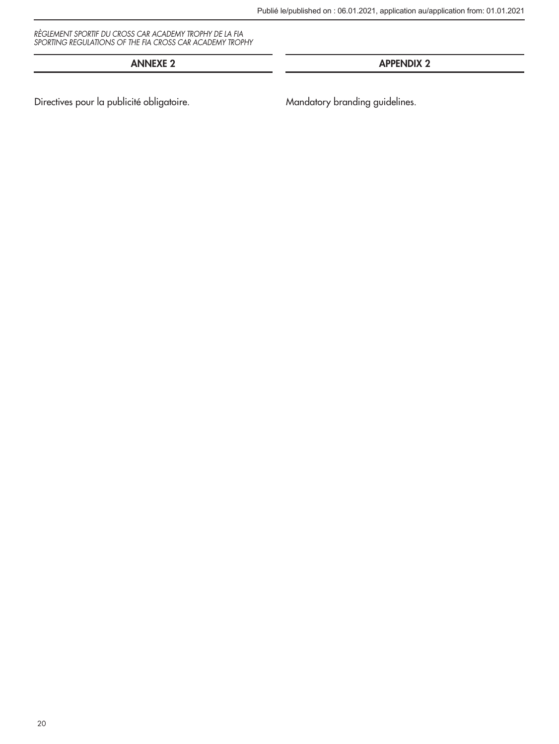# ANNEXE 2 APPENDIX 2

Directives pour la publicité obligatoire. Mandatory branding guidelines.